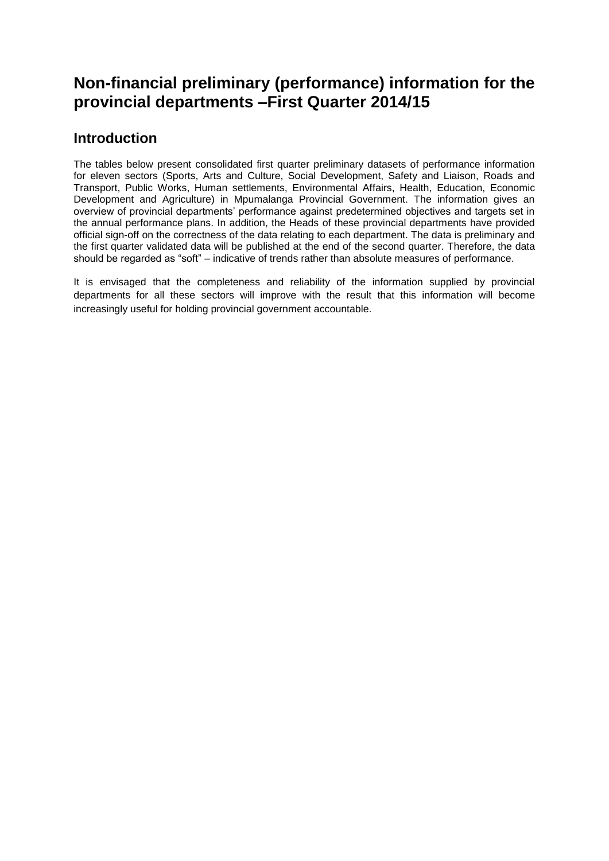# **Non-financial preliminary (performance) information for the provincial departments –First Quarter 2014/15**

## **Introduction**

The tables below present consolidated first quarter preliminary datasets of performance information for eleven sectors (Sports, Arts and Culture, Social Development, Safety and Liaison, Roads and Transport, Public Works, Human settlements, Environmental Affairs, Health, Education, Economic Development and Agriculture) in Mpumalanga Provincial Government. The information gives an overview of provincial departments' performance against predetermined objectives and targets set in the annual performance plans. In addition, the Heads of these provincial departments have provided official sign-off on the correctness of the data relating to each department. The data is preliminary and the first quarter validated data will be published at the end of the second quarter. Therefore, the data should be regarded as "soft" – indicative of trends rather than absolute measures of performance.

It is envisaged that the completeness and reliability of the information supplied by provincial departments for all these sectors will improve with the result that this information will become increasingly useful for holding provincial government accountable.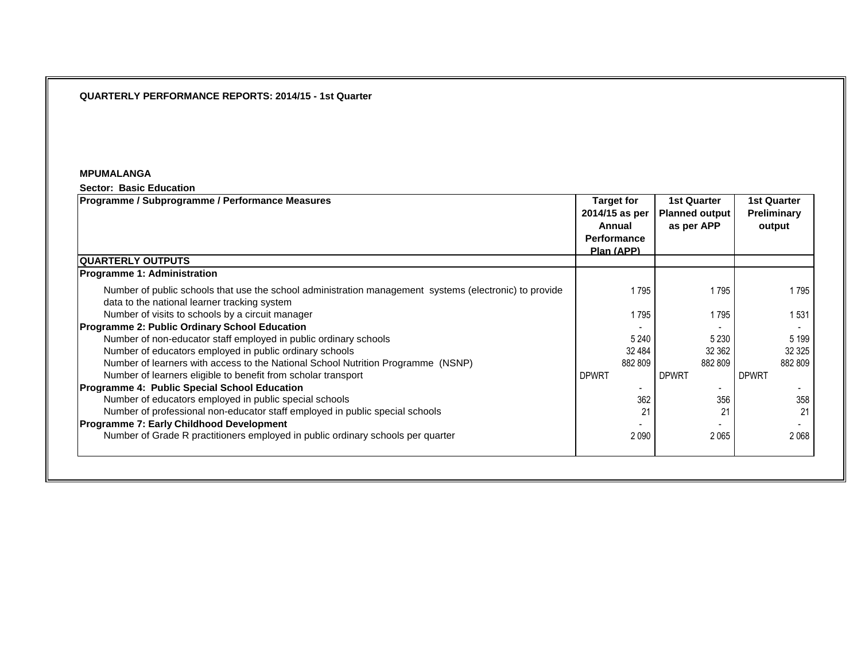#### **MPUMALANGA**

| Programme / Subprogramme / Performance Measures                                                                                                        | <b>Target for</b><br>2014/15 as per<br>Annual<br><b>Performance</b><br>Plan (APP) | <b>1st Quarter</b><br><b>Planned output</b><br>as per APP | <b>1st Quarter</b><br><b>Preliminary</b><br>output |
|--------------------------------------------------------------------------------------------------------------------------------------------------------|-----------------------------------------------------------------------------------|-----------------------------------------------------------|----------------------------------------------------|
| <b>QUARTERLY OUTPUTS</b>                                                                                                                               |                                                                                   |                                                           |                                                    |
| Programme 1: Administration                                                                                                                            |                                                                                   |                                                           |                                                    |
| Number of public schools that use the school administration management systems (electronic) to provide<br>data to the national learner tracking system | 1795                                                                              | 1795                                                      | 1795                                               |
| Number of visits to schools by a circuit manager                                                                                                       | 1795                                                                              | 1795                                                      | 1531                                               |
| <b>Programme 2: Public Ordinary School Education</b>                                                                                                   |                                                                                   |                                                           |                                                    |
| Number of non-educator staff employed in public ordinary schools                                                                                       | 5 2 4 0                                                                           | 5 2 3 0                                                   | 5 1 9 9                                            |
| Number of educators employed in public ordinary schools                                                                                                | 32 484                                                                            | 32 362                                                    | 32 3 25                                            |
| Number of learners with access to the National School Nutrition Programme (NSNP)                                                                       | 882 809                                                                           | 882 809                                                   | 882 809                                            |
| Number of learners eligible to benefit from scholar transport                                                                                          | <b>DPWRT</b>                                                                      | <b>DPWRT</b>                                              | <b>DPWRT</b>                                       |
| Programme 4: Public Special School Education                                                                                                           |                                                                                   |                                                           |                                                    |
| Number of educators employed in public special schools                                                                                                 | 362                                                                               | 356                                                       | 358                                                |
| Number of professional non-educator staff employed in public special schools                                                                           | 21                                                                                | 21                                                        | 21                                                 |
| <b>Programme 7: Early Childhood Development</b>                                                                                                        |                                                                                   |                                                           |                                                    |
| Number of Grade R practitioners employed in public ordinary schools per quarter                                                                        | 2 0 9 0                                                                           | 2065                                                      | 2068                                               |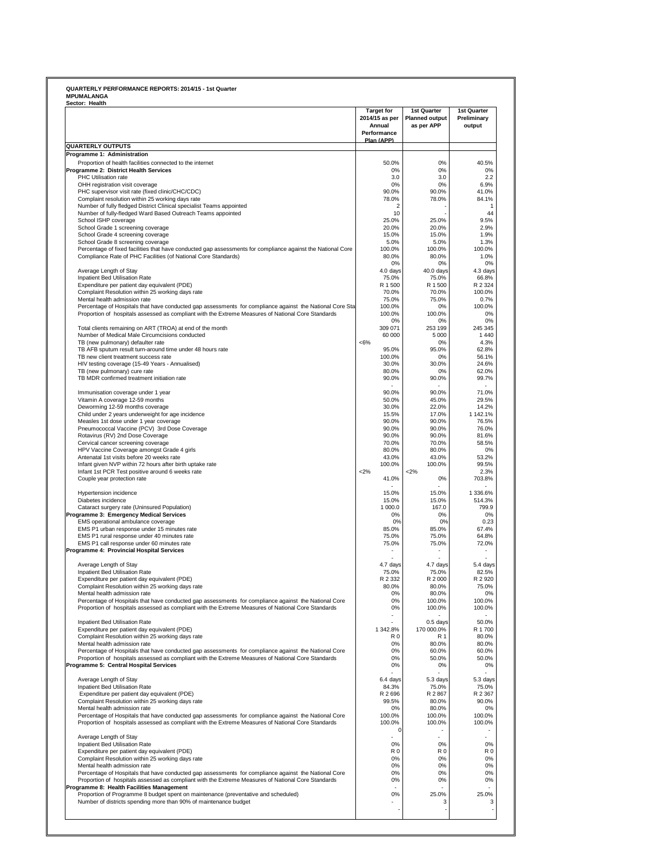| <b>QUARTERLY OUTPUTS</b><br>Programme 1: Administration<br>Proportion of health facilities connected to the internet<br>50.0%<br>0%<br>40.5%<br>Programme 2: District Health Services<br>0%<br>0%<br>PHC Utilisation rate<br>3.0<br>3.0<br>OHH registration visit coverage<br>0%<br>0%<br>90.0%<br>90.0%<br>PHC supervisor visit rate (fixed clinic/CHC/CDC)<br>Complaint resolution within 25 working days rate<br>78.0%<br>78.0%<br>84.1%<br>Number of fully fledged District Clinical specialist Teams appointed<br>$\overline{\phantom{a}}$<br>Number of fully-fledged Ward Based Outreach Teams appointed<br>10<br>44<br>School ISHP coverage<br>25.0%<br>25.0%<br>9.5%<br>School Grade 1 screening coverage<br>20.0%<br>20.0%<br>2.9%<br>School Grade 4 screening coverage<br>15.0%<br>15.0%<br>1.9%<br>School Grade 8 screening coverage<br>5.0%<br>5.0%<br>1.3%<br>Percentage of fixed facilities that have conducted gap assessments for compliance against the National Core<br>100.0%<br>100.0%<br>100.0%<br>Compliance Rate of PHC Facilities (of National Core Standards)<br>80.0%<br>80.0%<br>1.0%<br>0%<br>0%<br>0%<br>4.0 days<br>$40.0$ days<br>4.3 days<br>Average Length of Stay<br>75.0%<br>75.0%<br>Inpatient Bed Utilisation Rate<br>66.8%<br>Expenditure per patient day equivalent (PDE)<br>R 1 500<br>R 1 500<br>R 2 3 2 4<br>Complaint Resolution within 25 working days rate<br>70.0%<br>70.0%<br>100.0%<br>Mental health admission rate<br>75.0%<br>75.0%<br>0.7%<br>Percentage of Hospitals that have conducted gap assessments for compliance against the National Core Sta<br>100.0%<br>0%<br>100.0%<br>100.0%<br>Proportion of hospitals assessed as compliant with the Extreme Measures of National Core Standards<br>100.0%<br>0%<br>0%<br>0%<br>0%<br>309 071<br>Total clients remaining on ART (TROA) at end of the month<br>253 199<br>245 345<br>60 000<br>Number of Medical Male Circumcisions conducted<br>5 0 0 0<br>1 4 4 0<br>TB (new pulmonary) defaulter rate<br>$<6\%$<br>0%<br>4.3%<br>TB AFB sputum result turn-around time under 48 hours rate<br>95.0%<br>95.0%<br>62.8%<br>100.0%<br>TB new client treatment success rate<br>0%<br>56.1%<br>HIV testing coverage (15-49 Years - Annualised)<br>30.0%<br>30.0%<br>24.6%<br>TB (new pulmonary) cure rate<br>80.0%<br>0%<br>62.0%<br>TB MDR confirmed treatment initiation rate<br>90.0%<br>90.0%<br>99.7%<br>90.0%<br>90.0%<br>71.0%<br>Immunisation coverage under 1 year<br>Vitamin A coverage 12-59 months<br>50.0%<br>45.0%<br>29.5%<br>30.0%<br>22.0%<br>14.2%<br>Deworming 12-59 months coverage<br>Child under 2 years underweight for age incidence<br>15.5%<br>17.0%<br>1 142.1%<br>90.0%<br>90.0%<br>76.5%<br>Measles 1st dose under 1 year coverage<br>Pneumococcal Vaccine (PCV) 3rd Dose Coverage<br>90.0%<br>90.0%<br>76.0%<br>Rotavirus (RV) 2nd Dose Coverage<br>90.0%<br>90.0%<br>81.6%<br>70.0%<br>70.0%<br>58.5%<br>Cervical cancer screening coverage<br>HPV Vaccine Coverage amongst Grade 4 girls<br>80.0%<br>80.0%<br>0%<br>Antenatal 1st visits before 20 weeks rate<br>43.0%<br>43.0%<br>53.2%<br>Infant given NVP within 72 hours after birth uptake rate<br>100.0%<br>100.0%<br>99.5%<br>< 2%<br>Infant 1st PCR Test positive around 6 weeks rate<br>< 2%<br>2.3%<br>41.0%<br>0%<br>703.8%<br>Couple year protection rate<br>٠<br>Hypertension incidence<br>15.0%<br>15.0%<br>1 336.6%<br>15.0%<br>Diabetes incidence<br>15.0%<br>514.3%<br>Cataract surgery rate (Uninsured Population)<br>1 000.0<br>167.0<br>799.9<br>Programme 3: Emergency Medical Services<br>0%<br>0%<br>0%<br>EMS operational ambulance coverage<br>0%<br>0%<br>0.23<br>EMS P1 urban response under 15 minutes rate<br>85.0%<br>85.0%<br>67.4%<br>EMS P1 rural response under 40 minutes rate<br>75.0%<br>75.0%<br>64.8%<br>EMS P1 call response under 60 minutes rate<br>75.0%<br>75.0%<br>72.0%<br>Programme 4: Provincial Hospital Services<br>٠<br>٠<br>٠<br>ä,<br>4.7 days<br>4.7 days<br>5.4 days<br>Average Length of Stay<br>Inpatient Bed Utilisation Rate<br>75.0%<br>75.0%<br>82.5%<br>Expenditure per patient day equivalent (PDE)<br>R 2 3 3 2<br>R 2 000<br>R 2 9 2 0<br>Complaint Resolution within 25 working days rate<br>80.0%<br>80.0%<br>75.0%<br>Mental health admission rate<br>0%<br>80.0%<br>0%<br>Percentage of Hospitals that have conducted gap assessments for compliance against the National Core<br>0%<br>100.0%<br>100.0%<br>Proportion of hospitals assessed as compliant with the Extreme Measures of National Core Standards<br>0%<br>100.0%<br>100.0%<br>$\overline{\phantom{a}}$<br>Inpatient Bed Utilisation Rate<br>$0.5$ days<br>50.0%<br>Expenditure per patient day equivalent (PDE)<br>1 342.8%<br>170 000.0%<br>R 1 700<br>Complaint Resolution within 25 working days rate<br>80.0%<br>R0<br>R 1<br>Mental health admission rate<br>0%<br>80.0%<br>80.0%<br>Percentage of Hospitals that have conducted gap assessments for compliance against the National Core<br>0%<br>60.0%<br>60.0%<br>Proportion of hospitals assessed as compliant with the Extreme Measures of National Core Standards<br>0%<br>50.0%<br>50.0%<br>Programme 5: Central Hospital Services<br>0%<br>0%<br>0%<br>Average Length of Stay<br>6.4 days<br>5.3 days<br>5.3 days<br>Inpatient Bed Utilisation Rate<br>84.3%<br>75.0%<br>75.0%<br>Expenditure per patient day equivalent (PDE)<br>R 2696<br>R 2 867<br>R 2 367<br>Complaint Resolution within 25 working days rate<br>99.5%<br>80.0%<br>90.0%<br>Mental health admission rate<br>80.0%<br>0%<br>0%<br>Percentage of Hospitals that have conducted gap assessments for compliance against the National Core<br>100.0%<br>100.0%<br>100.0%<br>Proportion of hospitals assessed as compliant with the Extreme Measures of National Core Standards<br>100.0%<br>100.0%<br>100.0%<br>0<br>٠<br>Average Length of Stay<br>Inpatient Bed Utilisation Rate<br>0%<br>$0\%$<br>0%<br>Expenditure per patient day equivalent (PDE)<br>R0<br>R0<br>R0<br>Complaint Resolution within 25 working days rate<br>0%<br>0%<br>0%<br>Mental health admission rate<br>0%<br>0%<br>0%<br>Percentage of Hospitals that have conducted gap assessments for compliance against the National Core<br>0%<br>0%<br>0%<br>Proportion of hospitals assessed as compliant with the Extreme Measures of National Core Standards<br>0%<br>0%<br>0%<br>Programme 8: Health Facilities Management<br>Proportion of Programme 8 budget spent on maintenance (preventative and scheduled)<br>0%<br>25.0%<br>25.0%<br>Number of districts spending more than 90% of maintenance budget<br>3<br>3 | Sector: Health | <b>Target for</b><br>2014/15 as per<br>Annual<br>Performance<br>Plan (APP) | 1st Quarter<br><b>Planned output</b><br>as per APP | 1st Quarter<br>Preliminary<br>output |
|----------------------------------------------------------------------------------------------------------------------------------------------------------------------------------------------------------------------------------------------------------------------------------------------------------------------------------------------------------------------------------------------------------------------------------------------------------------------------------------------------------------------------------------------------------------------------------------------------------------------------------------------------------------------------------------------------------------------------------------------------------------------------------------------------------------------------------------------------------------------------------------------------------------------------------------------------------------------------------------------------------------------------------------------------------------------------------------------------------------------------------------------------------------------------------------------------------------------------------------------------------------------------------------------------------------------------------------------------------------------------------------------------------------------------------------------------------------------------------------------------------------------------------------------------------------------------------------------------------------------------------------------------------------------------------------------------------------------------------------------------------------------------------------------------------------------------------------------------------------------------------------------------------------------------------------------------------------------------------------------------------------------------------------------------------------------------------------------------------------------------------------------------------------------------------------------------------------------------------------------------------------------------------------------------------------------------------------------------------------------------------------------------------------------------------------------------------------------------------------------------------------------------------------------------------------------------------------------------------------------------------------------------------------------------------------------------------------------------------------------------------------------------------------------------------------------------------------------------------------------------------------------------------------------------------------------------------------------------------------------------------------------------------------------------------------------------------------------------------------------------------------------------------------------------------------------------------------------------------------------------------------------------------------------------------------------------------------------------------------------------------------------------------------------------------------------------------------------------------------------------------------------------------------------------------------------------------------------------------------------------------------------------------------------------------------------------------------------------------------------------------------------------------------------------------------------------------------------------------------------------------------------------------------------------------------------------------------------------------------------------------------------------------------------------------------------------------------------------------------------------------------------------------------------------------------------------------------------------------------------------------------------------------------------------------------------------------------------------------------------------------------------------------------------------------------------------------------------------------------------------------------------------------------------------------------------------------------------------------------------------------------------------------------------------------------------------------------------------------------------------------------------------------------------------------------------------------------------------------------------------------------------------------------------------------------------------------------------------------------------------------------------------------------------------------------------------------------------------------------------------------------------------------------------------------------------------------------------------------------------------------------------------------------------------------------------------------------------------------------------------------------------------------------------------------------------------------------------------------------------------------------------------------------------------------------------------------------------------------------------------------------------------------------------------------------------------------------------------------------------------------------------------------------------------------------------------------------------------------------------------------------------------------------------------------------------------------------------------------------------------------------------------------------------------------------------------------------------------------------------------------------------------------------------------------------------------------------------------------------------------------------------------------------------------------------------------------------------------------------------------------------------------------------------------------------------------------------------------------------------------------------------------------------------------------------------------------------------------------------------------------------------|----------------|----------------------------------------------------------------------------|----------------------------------------------------|--------------------------------------|
|                                                                                                                                                                                                                                                                                                                                                                                                                                                                                                                                                                                                                                                                                                                                                                                                                                                                                                                                                                                                                                                                                                                                                                                                                                                                                                                                                                                                                                                                                                                                                                                                                                                                                                                                                                                                                                                                                                                                                                                                                                                                                                                                                                                                                                                                                                                                                                                                                                                                                                                                                                                                                                                                                                                                                                                                                                                                                                                                                                                                                                                                                                                                                                                                                                                                                                                                                                                                                                                                                                                                                                                                                                                                                                                                                                                                                                                                                                                                                                                                                                                                                                                                                                                                                                                                                                                                                                                                                                                                                                                                                                                                                                                                                                                                                                                                                                                                                                                                                                                                                                                                                                                                                                                                                                                                                                                                                                                                                                                                                                                                                                                                                                                                                                                                                                                                                                                                                                                                                                                                                                                                                                                                                                                                                                                                                                                                                                                                                                                                                                                                                                                                                                              |                |                                                                            |                                                    |                                      |
|                                                                                                                                                                                                                                                                                                                                                                                                                                                                                                                                                                                                                                                                                                                                                                                                                                                                                                                                                                                                                                                                                                                                                                                                                                                                                                                                                                                                                                                                                                                                                                                                                                                                                                                                                                                                                                                                                                                                                                                                                                                                                                                                                                                                                                                                                                                                                                                                                                                                                                                                                                                                                                                                                                                                                                                                                                                                                                                                                                                                                                                                                                                                                                                                                                                                                                                                                                                                                                                                                                                                                                                                                                                                                                                                                                                                                                                                                                                                                                                                                                                                                                                                                                                                                                                                                                                                                                                                                                                                                                                                                                                                                                                                                                                                                                                                                                                                                                                                                                                                                                                                                                                                                                                                                                                                                                                                                                                                                                                                                                                                                                                                                                                                                                                                                                                                                                                                                                                                                                                                                                                                                                                                                                                                                                                                                                                                                                                                                                                                                                                                                                                                                                              |                |                                                                            |                                                    |                                      |
|                                                                                                                                                                                                                                                                                                                                                                                                                                                                                                                                                                                                                                                                                                                                                                                                                                                                                                                                                                                                                                                                                                                                                                                                                                                                                                                                                                                                                                                                                                                                                                                                                                                                                                                                                                                                                                                                                                                                                                                                                                                                                                                                                                                                                                                                                                                                                                                                                                                                                                                                                                                                                                                                                                                                                                                                                                                                                                                                                                                                                                                                                                                                                                                                                                                                                                                                                                                                                                                                                                                                                                                                                                                                                                                                                                                                                                                                                                                                                                                                                                                                                                                                                                                                                                                                                                                                                                                                                                                                                                                                                                                                                                                                                                                                                                                                                                                                                                                                                                                                                                                                                                                                                                                                                                                                                                                                                                                                                                                                                                                                                                                                                                                                                                                                                                                                                                                                                                                                                                                                                                                                                                                                                                                                                                                                                                                                                                                                                                                                                                                                                                                                                                              |                |                                                                            |                                                    | 0%                                   |
|                                                                                                                                                                                                                                                                                                                                                                                                                                                                                                                                                                                                                                                                                                                                                                                                                                                                                                                                                                                                                                                                                                                                                                                                                                                                                                                                                                                                                                                                                                                                                                                                                                                                                                                                                                                                                                                                                                                                                                                                                                                                                                                                                                                                                                                                                                                                                                                                                                                                                                                                                                                                                                                                                                                                                                                                                                                                                                                                                                                                                                                                                                                                                                                                                                                                                                                                                                                                                                                                                                                                                                                                                                                                                                                                                                                                                                                                                                                                                                                                                                                                                                                                                                                                                                                                                                                                                                                                                                                                                                                                                                                                                                                                                                                                                                                                                                                                                                                                                                                                                                                                                                                                                                                                                                                                                                                                                                                                                                                                                                                                                                                                                                                                                                                                                                                                                                                                                                                                                                                                                                                                                                                                                                                                                                                                                                                                                                                                                                                                                                                                                                                                                                              |                |                                                                            |                                                    | 2.2                                  |
|                                                                                                                                                                                                                                                                                                                                                                                                                                                                                                                                                                                                                                                                                                                                                                                                                                                                                                                                                                                                                                                                                                                                                                                                                                                                                                                                                                                                                                                                                                                                                                                                                                                                                                                                                                                                                                                                                                                                                                                                                                                                                                                                                                                                                                                                                                                                                                                                                                                                                                                                                                                                                                                                                                                                                                                                                                                                                                                                                                                                                                                                                                                                                                                                                                                                                                                                                                                                                                                                                                                                                                                                                                                                                                                                                                                                                                                                                                                                                                                                                                                                                                                                                                                                                                                                                                                                                                                                                                                                                                                                                                                                                                                                                                                                                                                                                                                                                                                                                                                                                                                                                                                                                                                                                                                                                                                                                                                                                                                                                                                                                                                                                                                                                                                                                                                                                                                                                                                                                                                                                                                                                                                                                                                                                                                                                                                                                                                                                                                                                                                                                                                                                                              |                |                                                                            |                                                    | 6.9%                                 |
|                                                                                                                                                                                                                                                                                                                                                                                                                                                                                                                                                                                                                                                                                                                                                                                                                                                                                                                                                                                                                                                                                                                                                                                                                                                                                                                                                                                                                                                                                                                                                                                                                                                                                                                                                                                                                                                                                                                                                                                                                                                                                                                                                                                                                                                                                                                                                                                                                                                                                                                                                                                                                                                                                                                                                                                                                                                                                                                                                                                                                                                                                                                                                                                                                                                                                                                                                                                                                                                                                                                                                                                                                                                                                                                                                                                                                                                                                                                                                                                                                                                                                                                                                                                                                                                                                                                                                                                                                                                                                                                                                                                                                                                                                                                                                                                                                                                                                                                                                                                                                                                                                                                                                                                                                                                                                                                                                                                                                                                                                                                                                                                                                                                                                                                                                                                                                                                                                                                                                                                                                                                                                                                                                                                                                                                                                                                                                                                                                                                                                                                                                                                                                                              |                |                                                                            |                                                    | 41.0%                                |
|                                                                                                                                                                                                                                                                                                                                                                                                                                                                                                                                                                                                                                                                                                                                                                                                                                                                                                                                                                                                                                                                                                                                                                                                                                                                                                                                                                                                                                                                                                                                                                                                                                                                                                                                                                                                                                                                                                                                                                                                                                                                                                                                                                                                                                                                                                                                                                                                                                                                                                                                                                                                                                                                                                                                                                                                                                                                                                                                                                                                                                                                                                                                                                                                                                                                                                                                                                                                                                                                                                                                                                                                                                                                                                                                                                                                                                                                                                                                                                                                                                                                                                                                                                                                                                                                                                                                                                                                                                                                                                                                                                                                                                                                                                                                                                                                                                                                                                                                                                                                                                                                                                                                                                                                                                                                                                                                                                                                                                                                                                                                                                                                                                                                                                                                                                                                                                                                                                                                                                                                                                                                                                                                                                                                                                                                                                                                                                                                                                                                                                                                                                                                                                              |                |                                                                            |                                                    |                                      |
|                                                                                                                                                                                                                                                                                                                                                                                                                                                                                                                                                                                                                                                                                                                                                                                                                                                                                                                                                                                                                                                                                                                                                                                                                                                                                                                                                                                                                                                                                                                                                                                                                                                                                                                                                                                                                                                                                                                                                                                                                                                                                                                                                                                                                                                                                                                                                                                                                                                                                                                                                                                                                                                                                                                                                                                                                                                                                                                                                                                                                                                                                                                                                                                                                                                                                                                                                                                                                                                                                                                                                                                                                                                                                                                                                                                                                                                                                                                                                                                                                                                                                                                                                                                                                                                                                                                                                                                                                                                                                                                                                                                                                                                                                                                                                                                                                                                                                                                                                                                                                                                                                                                                                                                                                                                                                                                                                                                                                                                                                                                                                                                                                                                                                                                                                                                                                                                                                                                                                                                                                                                                                                                                                                                                                                                                                                                                                                                                                                                                                                                                                                                                                                              |                |                                                                            |                                                    | -1                                   |
|                                                                                                                                                                                                                                                                                                                                                                                                                                                                                                                                                                                                                                                                                                                                                                                                                                                                                                                                                                                                                                                                                                                                                                                                                                                                                                                                                                                                                                                                                                                                                                                                                                                                                                                                                                                                                                                                                                                                                                                                                                                                                                                                                                                                                                                                                                                                                                                                                                                                                                                                                                                                                                                                                                                                                                                                                                                                                                                                                                                                                                                                                                                                                                                                                                                                                                                                                                                                                                                                                                                                                                                                                                                                                                                                                                                                                                                                                                                                                                                                                                                                                                                                                                                                                                                                                                                                                                                                                                                                                                                                                                                                                                                                                                                                                                                                                                                                                                                                                                                                                                                                                                                                                                                                                                                                                                                                                                                                                                                                                                                                                                                                                                                                                                                                                                                                                                                                                                                                                                                                                                                                                                                                                                                                                                                                                                                                                                                                                                                                                                                                                                                                                                              |                |                                                                            |                                                    |                                      |
|                                                                                                                                                                                                                                                                                                                                                                                                                                                                                                                                                                                                                                                                                                                                                                                                                                                                                                                                                                                                                                                                                                                                                                                                                                                                                                                                                                                                                                                                                                                                                                                                                                                                                                                                                                                                                                                                                                                                                                                                                                                                                                                                                                                                                                                                                                                                                                                                                                                                                                                                                                                                                                                                                                                                                                                                                                                                                                                                                                                                                                                                                                                                                                                                                                                                                                                                                                                                                                                                                                                                                                                                                                                                                                                                                                                                                                                                                                                                                                                                                                                                                                                                                                                                                                                                                                                                                                                                                                                                                                                                                                                                                                                                                                                                                                                                                                                                                                                                                                                                                                                                                                                                                                                                                                                                                                                                                                                                                                                                                                                                                                                                                                                                                                                                                                                                                                                                                                                                                                                                                                                                                                                                                                                                                                                                                                                                                                                                                                                                                                                                                                                                                                              |                |                                                                            |                                                    |                                      |
|                                                                                                                                                                                                                                                                                                                                                                                                                                                                                                                                                                                                                                                                                                                                                                                                                                                                                                                                                                                                                                                                                                                                                                                                                                                                                                                                                                                                                                                                                                                                                                                                                                                                                                                                                                                                                                                                                                                                                                                                                                                                                                                                                                                                                                                                                                                                                                                                                                                                                                                                                                                                                                                                                                                                                                                                                                                                                                                                                                                                                                                                                                                                                                                                                                                                                                                                                                                                                                                                                                                                                                                                                                                                                                                                                                                                                                                                                                                                                                                                                                                                                                                                                                                                                                                                                                                                                                                                                                                                                                                                                                                                                                                                                                                                                                                                                                                                                                                                                                                                                                                                                                                                                                                                                                                                                                                                                                                                                                                                                                                                                                                                                                                                                                                                                                                                                                                                                                                                                                                                                                                                                                                                                                                                                                                                                                                                                                                                                                                                                                                                                                                                                                              |                |                                                                            |                                                    |                                      |
|                                                                                                                                                                                                                                                                                                                                                                                                                                                                                                                                                                                                                                                                                                                                                                                                                                                                                                                                                                                                                                                                                                                                                                                                                                                                                                                                                                                                                                                                                                                                                                                                                                                                                                                                                                                                                                                                                                                                                                                                                                                                                                                                                                                                                                                                                                                                                                                                                                                                                                                                                                                                                                                                                                                                                                                                                                                                                                                                                                                                                                                                                                                                                                                                                                                                                                                                                                                                                                                                                                                                                                                                                                                                                                                                                                                                                                                                                                                                                                                                                                                                                                                                                                                                                                                                                                                                                                                                                                                                                                                                                                                                                                                                                                                                                                                                                                                                                                                                                                                                                                                                                                                                                                                                                                                                                                                                                                                                                                                                                                                                                                                                                                                                                                                                                                                                                                                                                                                                                                                                                                                                                                                                                                                                                                                                                                                                                                                                                                                                                                                                                                                                                                              |                |                                                                            |                                                    |                                      |
|                                                                                                                                                                                                                                                                                                                                                                                                                                                                                                                                                                                                                                                                                                                                                                                                                                                                                                                                                                                                                                                                                                                                                                                                                                                                                                                                                                                                                                                                                                                                                                                                                                                                                                                                                                                                                                                                                                                                                                                                                                                                                                                                                                                                                                                                                                                                                                                                                                                                                                                                                                                                                                                                                                                                                                                                                                                                                                                                                                                                                                                                                                                                                                                                                                                                                                                                                                                                                                                                                                                                                                                                                                                                                                                                                                                                                                                                                                                                                                                                                                                                                                                                                                                                                                                                                                                                                                                                                                                                                                                                                                                                                                                                                                                                                                                                                                                                                                                                                                                                                                                                                                                                                                                                                                                                                                                                                                                                                                                                                                                                                                                                                                                                                                                                                                                                                                                                                                                                                                                                                                                                                                                                                                                                                                                                                                                                                                                                                                                                                                                                                                                                                                              |                |                                                                            |                                                    |                                      |
|                                                                                                                                                                                                                                                                                                                                                                                                                                                                                                                                                                                                                                                                                                                                                                                                                                                                                                                                                                                                                                                                                                                                                                                                                                                                                                                                                                                                                                                                                                                                                                                                                                                                                                                                                                                                                                                                                                                                                                                                                                                                                                                                                                                                                                                                                                                                                                                                                                                                                                                                                                                                                                                                                                                                                                                                                                                                                                                                                                                                                                                                                                                                                                                                                                                                                                                                                                                                                                                                                                                                                                                                                                                                                                                                                                                                                                                                                                                                                                                                                                                                                                                                                                                                                                                                                                                                                                                                                                                                                                                                                                                                                                                                                                                                                                                                                                                                                                                                                                                                                                                                                                                                                                                                                                                                                                                                                                                                                                                                                                                                                                                                                                                                                                                                                                                                                                                                                                                                                                                                                                                                                                                                                                                                                                                                                                                                                                                                                                                                                                                                                                                                                                              |                |                                                                            |                                                    |                                      |
|                                                                                                                                                                                                                                                                                                                                                                                                                                                                                                                                                                                                                                                                                                                                                                                                                                                                                                                                                                                                                                                                                                                                                                                                                                                                                                                                                                                                                                                                                                                                                                                                                                                                                                                                                                                                                                                                                                                                                                                                                                                                                                                                                                                                                                                                                                                                                                                                                                                                                                                                                                                                                                                                                                                                                                                                                                                                                                                                                                                                                                                                                                                                                                                                                                                                                                                                                                                                                                                                                                                                                                                                                                                                                                                                                                                                                                                                                                                                                                                                                                                                                                                                                                                                                                                                                                                                                                                                                                                                                                                                                                                                                                                                                                                                                                                                                                                                                                                                                                                                                                                                                                                                                                                                                                                                                                                                                                                                                                                                                                                                                                                                                                                                                                                                                                                                                                                                                                                                                                                                                                                                                                                                                                                                                                                                                                                                                                                                                                                                                                                                                                                                                                              |                |                                                                            |                                                    |                                      |
|                                                                                                                                                                                                                                                                                                                                                                                                                                                                                                                                                                                                                                                                                                                                                                                                                                                                                                                                                                                                                                                                                                                                                                                                                                                                                                                                                                                                                                                                                                                                                                                                                                                                                                                                                                                                                                                                                                                                                                                                                                                                                                                                                                                                                                                                                                                                                                                                                                                                                                                                                                                                                                                                                                                                                                                                                                                                                                                                                                                                                                                                                                                                                                                                                                                                                                                                                                                                                                                                                                                                                                                                                                                                                                                                                                                                                                                                                                                                                                                                                                                                                                                                                                                                                                                                                                                                                                                                                                                                                                                                                                                                                                                                                                                                                                                                                                                                                                                                                                                                                                                                                                                                                                                                                                                                                                                                                                                                                                                                                                                                                                                                                                                                                                                                                                                                                                                                                                                                                                                                                                                                                                                                                                                                                                                                                                                                                                                                                                                                                                                                                                                                                                              |                |                                                                            |                                                    |                                      |
|                                                                                                                                                                                                                                                                                                                                                                                                                                                                                                                                                                                                                                                                                                                                                                                                                                                                                                                                                                                                                                                                                                                                                                                                                                                                                                                                                                                                                                                                                                                                                                                                                                                                                                                                                                                                                                                                                                                                                                                                                                                                                                                                                                                                                                                                                                                                                                                                                                                                                                                                                                                                                                                                                                                                                                                                                                                                                                                                                                                                                                                                                                                                                                                                                                                                                                                                                                                                                                                                                                                                                                                                                                                                                                                                                                                                                                                                                                                                                                                                                                                                                                                                                                                                                                                                                                                                                                                                                                                                                                                                                                                                                                                                                                                                                                                                                                                                                                                                                                                                                                                                                                                                                                                                                                                                                                                                                                                                                                                                                                                                                                                                                                                                                                                                                                                                                                                                                                                                                                                                                                                                                                                                                                                                                                                                                                                                                                                                                                                                                                                                                                                                                                              |                |                                                                            |                                                    |                                      |
|                                                                                                                                                                                                                                                                                                                                                                                                                                                                                                                                                                                                                                                                                                                                                                                                                                                                                                                                                                                                                                                                                                                                                                                                                                                                                                                                                                                                                                                                                                                                                                                                                                                                                                                                                                                                                                                                                                                                                                                                                                                                                                                                                                                                                                                                                                                                                                                                                                                                                                                                                                                                                                                                                                                                                                                                                                                                                                                                                                                                                                                                                                                                                                                                                                                                                                                                                                                                                                                                                                                                                                                                                                                                                                                                                                                                                                                                                                                                                                                                                                                                                                                                                                                                                                                                                                                                                                                                                                                                                                                                                                                                                                                                                                                                                                                                                                                                                                                                                                                                                                                                                                                                                                                                                                                                                                                                                                                                                                                                                                                                                                                                                                                                                                                                                                                                                                                                                                                                                                                                                                                                                                                                                                                                                                                                                                                                                                                                                                                                                                                                                                                                                                              |                |                                                                            |                                                    |                                      |
|                                                                                                                                                                                                                                                                                                                                                                                                                                                                                                                                                                                                                                                                                                                                                                                                                                                                                                                                                                                                                                                                                                                                                                                                                                                                                                                                                                                                                                                                                                                                                                                                                                                                                                                                                                                                                                                                                                                                                                                                                                                                                                                                                                                                                                                                                                                                                                                                                                                                                                                                                                                                                                                                                                                                                                                                                                                                                                                                                                                                                                                                                                                                                                                                                                                                                                                                                                                                                                                                                                                                                                                                                                                                                                                                                                                                                                                                                                                                                                                                                                                                                                                                                                                                                                                                                                                                                                                                                                                                                                                                                                                                                                                                                                                                                                                                                                                                                                                                                                                                                                                                                                                                                                                                                                                                                                                                                                                                                                                                                                                                                                                                                                                                                                                                                                                                                                                                                                                                                                                                                                                                                                                                                                                                                                                                                                                                                                                                                                                                                                                                                                                                                                              |                |                                                                            |                                                    |                                      |
|                                                                                                                                                                                                                                                                                                                                                                                                                                                                                                                                                                                                                                                                                                                                                                                                                                                                                                                                                                                                                                                                                                                                                                                                                                                                                                                                                                                                                                                                                                                                                                                                                                                                                                                                                                                                                                                                                                                                                                                                                                                                                                                                                                                                                                                                                                                                                                                                                                                                                                                                                                                                                                                                                                                                                                                                                                                                                                                                                                                                                                                                                                                                                                                                                                                                                                                                                                                                                                                                                                                                                                                                                                                                                                                                                                                                                                                                                                                                                                                                                                                                                                                                                                                                                                                                                                                                                                                                                                                                                                                                                                                                                                                                                                                                                                                                                                                                                                                                                                                                                                                                                                                                                                                                                                                                                                                                                                                                                                                                                                                                                                                                                                                                                                                                                                                                                                                                                                                                                                                                                                                                                                                                                                                                                                                                                                                                                                                                                                                                                                                                                                                                                                              |                |                                                                            |                                                    |                                      |
|                                                                                                                                                                                                                                                                                                                                                                                                                                                                                                                                                                                                                                                                                                                                                                                                                                                                                                                                                                                                                                                                                                                                                                                                                                                                                                                                                                                                                                                                                                                                                                                                                                                                                                                                                                                                                                                                                                                                                                                                                                                                                                                                                                                                                                                                                                                                                                                                                                                                                                                                                                                                                                                                                                                                                                                                                                                                                                                                                                                                                                                                                                                                                                                                                                                                                                                                                                                                                                                                                                                                                                                                                                                                                                                                                                                                                                                                                                                                                                                                                                                                                                                                                                                                                                                                                                                                                                                                                                                                                                                                                                                                                                                                                                                                                                                                                                                                                                                                                                                                                                                                                                                                                                                                                                                                                                                                                                                                                                                                                                                                                                                                                                                                                                                                                                                                                                                                                                                                                                                                                                                                                                                                                                                                                                                                                                                                                                                                                                                                                                                                                                                                                                              |                |                                                                            |                                                    |                                      |
|                                                                                                                                                                                                                                                                                                                                                                                                                                                                                                                                                                                                                                                                                                                                                                                                                                                                                                                                                                                                                                                                                                                                                                                                                                                                                                                                                                                                                                                                                                                                                                                                                                                                                                                                                                                                                                                                                                                                                                                                                                                                                                                                                                                                                                                                                                                                                                                                                                                                                                                                                                                                                                                                                                                                                                                                                                                                                                                                                                                                                                                                                                                                                                                                                                                                                                                                                                                                                                                                                                                                                                                                                                                                                                                                                                                                                                                                                                                                                                                                                                                                                                                                                                                                                                                                                                                                                                                                                                                                                                                                                                                                                                                                                                                                                                                                                                                                                                                                                                                                                                                                                                                                                                                                                                                                                                                                                                                                                                                                                                                                                                                                                                                                                                                                                                                                                                                                                                                                                                                                                                                                                                                                                                                                                                                                                                                                                                                                                                                                                                                                                                                                                                              |                |                                                                            |                                                    |                                      |
|                                                                                                                                                                                                                                                                                                                                                                                                                                                                                                                                                                                                                                                                                                                                                                                                                                                                                                                                                                                                                                                                                                                                                                                                                                                                                                                                                                                                                                                                                                                                                                                                                                                                                                                                                                                                                                                                                                                                                                                                                                                                                                                                                                                                                                                                                                                                                                                                                                                                                                                                                                                                                                                                                                                                                                                                                                                                                                                                                                                                                                                                                                                                                                                                                                                                                                                                                                                                                                                                                                                                                                                                                                                                                                                                                                                                                                                                                                                                                                                                                                                                                                                                                                                                                                                                                                                                                                                                                                                                                                                                                                                                                                                                                                                                                                                                                                                                                                                                                                                                                                                                                                                                                                                                                                                                                                                                                                                                                                                                                                                                                                                                                                                                                                                                                                                                                                                                                                                                                                                                                                                                                                                                                                                                                                                                                                                                                                                                                                                                                                                                                                                                                                              |                |                                                                            |                                                    |                                      |
|                                                                                                                                                                                                                                                                                                                                                                                                                                                                                                                                                                                                                                                                                                                                                                                                                                                                                                                                                                                                                                                                                                                                                                                                                                                                                                                                                                                                                                                                                                                                                                                                                                                                                                                                                                                                                                                                                                                                                                                                                                                                                                                                                                                                                                                                                                                                                                                                                                                                                                                                                                                                                                                                                                                                                                                                                                                                                                                                                                                                                                                                                                                                                                                                                                                                                                                                                                                                                                                                                                                                                                                                                                                                                                                                                                                                                                                                                                                                                                                                                                                                                                                                                                                                                                                                                                                                                                                                                                                                                                                                                                                                                                                                                                                                                                                                                                                                                                                                                                                                                                                                                                                                                                                                                                                                                                                                                                                                                                                                                                                                                                                                                                                                                                                                                                                                                                                                                                                                                                                                                                                                                                                                                                                                                                                                                                                                                                                                                                                                                                                                                                                                                                              |                |                                                                            |                                                    |                                      |
|                                                                                                                                                                                                                                                                                                                                                                                                                                                                                                                                                                                                                                                                                                                                                                                                                                                                                                                                                                                                                                                                                                                                                                                                                                                                                                                                                                                                                                                                                                                                                                                                                                                                                                                                                                                                                                                                                                                                                                                                                                                                                                                                                                                                                                                                                                                                                                                                                                                                                                                                                                                                                                                                                                                                                                                                                                                                                                                                                                                                                                                                                                                                                                                                                                                                                                                                                                                                                                                                                                                                                                                                                                                                                                                                                                                                                                                                                                                                                                                                                                                                                                                                                                                                                                                                                                                                                                                                                                                                                                                                                                                                                                                                                                                                                                                                                                                                                                                                                                                                                                                                                                                                                                                                                                                                                                                                                                                                                                                                                                                                                                                                                                                                                                                                                                                                                                                                                                                                                                                                                                                                                                                                                                                                                                                                                                                                                                                                                                                                                                                                                                                                                                              |                |                                                                            |                                                    |                                      |
|                                                                                                                                                                                                                                                                                                                                                                                                                                                                                                                                                                                                                                                                                                                                                                                                                                                                                                                                                                                                                                                                                                                                                                                                                                                                                                                                                                                                                                                                                                                                                                                                                                                                                                                                                                                                                                                                                                                                                                                                                                                                                                                                                                                                                                                                                                                                                                                                                                                                                                                                                                                                                                                                                                                                                                                                                                                                                                                                                                                                                                                                                                                                                                                                                                                                                                                                                                                                                                                                                                                                                                                                                                                                                                                                                                                                                                                                                                                                                                                                                                                                                                                                                                                                                                                                                                                                                                                                                                                                                                                                                                                                                                                                                                                                                                                                                                                                                                                                                                                                                                                                                                                                                                                                                                                                                                                                                                                                                                                                                                                                                                                                                                                                                                                                                                                                                                                                                                                                                                                                                                                                                                                                                                                                                                                                                                                                                                                                                                                                                                                                                                                                                                              |                |                                                                            |                                                    |                                      |
|                                                                                                                                                                                                                                                                                                                                                                                                                                                                                                                                                                                                                                                                                                                                                                                                                                                                                                                                                                                                                                                                                                                                                                                                                                                                                                                                                                                                                                                                                                                                                                                                                                                                                                                                                                                                                                                                                                                                                                                                                                                                                                                                                                                                                                                                                                                                                                                                                                                                                                                                                                                                                                                                                                                                                                                                                                                                                                                                                                                                                                                                                                                                                                                                                                                                                                                                                                                                                                                                                                                                                                                                                                                                                                                                                                                                                                                                                                                                                                                                                                                                                                                                                                                                                                                                                                                                                                                                                                                                                                                                                                                                                                                                                                                                                                                                                                                                                                                                                                                                                                                                                                                                                                                                                                                                                                                                                                                                                                                                                                                                                                                                                                                                                                                                                                                                                                                                                                                                                                                                                                                                                                                                                                                                                                                                                                                                                                                                                                                                                                                                                                                                                                              |                |                                                                            |                                                    |                                      |
|                                                                                                                                                                                                                                                                                                                                                                                                                                                                                                                                                                                                                                                                                                                                                                                                                                                                                                                                                                                                                                                                                                                                                                                                                                                                                                                                                                                                                                                                                                                                                                                                                                                                                                                                                                                                                                                                                                                                                                                                                                                                                                                                                                                                                                                                                                                                                                                                                                                                                                                                                                                                                                                                                                                                                                                                                                                                                                                                                                                                                                                                                                                                                                                                                                                                                                                                                                                                                                                                                                                                                                                                                                                                                                                                                                                                                                                                                                                                                                                                                                                                                                                                                                                                                                                                                                                                                                                                                                                                                                                                                                                                                                                                                                                                                                                                                                                                                                                                                                                                                                                                                                                                                                                                                                                                                                                                                                                                                                                                                                                                                                                                                                                                                                                                                                                                                                                                                                                                                                                                                                                                                                                                                                                                                                                                                                                                                                                                                                                                                                                                                                                                                                              |                |                                                                            |                                                    |                                      |
|                                                                                                                                                                                                                                                                                                                                                                                                                                                                                                                                                                                                                                                                                                                                                                                                                                                                                                                                                                                                                                                                                                                                                                                                                                                                                                                                                                                                                                                                                                                                                                                                                                                                                                                                                                                                                                                                                                                                                                                                                                                                                                                                                                                                                                                                                                                                                                                                                                                                                                                                                                                                                                                                                                                                                                                                                                                                                                                                                                                                                                                                                                                                                                                                                                                                                                                                                                                                                                                                                                                                                                                                                                                                                                                                                                                                                                                                                                                                                                                                                                                                                                                                                                                                                                                                                                                                                                                                                                                                                                                                                                                                                                                                                                                                                                                                                                                                                                                                                                                                                                                                                                                                                                                                                                                                                                                                                                                                                                                                                                                                                                                                                                                                                                                                                                                                                                                                                                                                                                                                                                                                                                                                                                                                                                                                                                                                                                                                                                                                                                                                                                                                                                              |                |                                                                            |                                                    |                                      |
|                                                                                                                                                                                                                                                                                                                                                                                                                                                                                                                                                                                                                                                                                                                                                                                                                                                                                                                                                                                                                                                                                                                                                                                                                                                                                                                                                                                                                                                                                                                                                                                                                                                                                                                                                                                                                                                                                                                                                                                                                                                                                                                                                                                                                                                                                                                                                                                                                                                                                                                                                                                                                                                                                                                                                                                                                                                                                                                                                                                                                                                                                                                                                                                                                                                                                                                                                                                                                                                                                                                                                                                                                                                                                                                                                                                                                                                                                                                                                                                                                                                                                                                                                                                                                                                                                                                                                                                                                                                                                                                                                                                                                                                                                                                                                                                                                                                                                                                                                                                                                                                                                                                                                                                                                                                                                                                                                                                                                                                                                                                                                                                                                                                                                                                                                                                                                                                                                                                                                                                                                                                                                                                                                                                                                                                                                                                                                                                                                                                                                                                                                                                                                                              |                |                                                                            |                                                    |                                      |
|                                                                                                                                                                                                                                                                                                                                                                                                                                                                                                                                                                                                                                                                                                                                                                                                                                                                                                                                                                                                                                                                                                                                                                                                                                                                                                                                                                                                                                                                                                                                                                                                                                                                                                                                                                                                                                                                                                                                                                                                                                                                                                                                                                                                                                                                                                                                                                                                                                                                                                                                                                                                                                                                                                                                                                                                                                                                                                                                                                                                                                                                                                                                                                                                                                                                                                                                                                                                                                                                                                                                                                                                                                                                                                                                                                                                                                                                                                                                                                                                                                                                                                                                                                                                                                                                                                                                                                                                                                                                                                                                                                                                                                                                                                                                                                                                                                                                                                                                                                                                                                                                                                                                                                                                                                                                                                                                                                                                                                                                                                                                                                                                                                                                                                                                                                                                                                                                                                                                                                                                                                                                                                                                                                                                                                                                                                                                                                                                                                                                                                                                                                                                                                              |                |                                                                            |                                                    |                                      |
|                                                                                                                                                                                                                                                                                                                                                                                                                                                                                                                                                                                                                                                                                                                                                                                                                                                                                                                                                                                                                                                                                                                                                                                                                                                                                                                                                                                                                                                                                                                                                                                                                                                                                                                                                                                                                                                                                                                                                                                                                                                                                                                                                                                                                                                                                                                                                                                                                                                                                                                                                                                                                                                                                                                                                                                                                                                                                                                                                                                                                                                                                                                                                                                                                                                                                                                                                                                                                                                                                                                                                                                                                                                                                                                                                                                                                                                                                                                                                                                                                                                                                                                                                                                                                                                                                                                                                                                                                                                                                                                                                                                                                                                                                                                                                                                                                                                                                                                                                                                                                                                                                                                                                                                                                                                                                                                                                                                                                                                                                                                                                                                                                                                                                                                                                                                                                                                                                                                                                                                                                                                                                                                                                                                                                                                                                                                                                                                                                                                                                                                                                                                                                                              |                |                                                                            |                                                    |                                      |
|                                                                                                                                                                                                                                                                                                                                                                                                                                                                                                                                                                                                                                                                                                                                                                                                                                                                                                                                                                                                                                                                                                                                                                                                                                                                                                                                                                                                                                                                                                                                                                                                                                                                                                                                                                                                                                                                                                                                                                                                                                                                                                                                                                                                                                                                                                                                                                                                                                                                                                                                                                                                                                                                                                                                                                                                                                                                                                                                                                                                                                                                                                                                                                                                                                                                                                                                                                                                                                                                                                                                                                                                                                                                                                                                                                                                                                                                                                                                                                                                                                                                                                                                                                                                                                                                                                                                                                                                                                                                                                                                                                                                                                                                                                                                                                                                                                                                                                                                                                                                                                                                                                                                                                                                                                                                                                                                                                                                                                                                                                                                                                                                                                                                                                                                                                                                                                                                                                                                                                                                                                                                                                                                                                                                                                                                                                                                                                                                                                                                                                                                                                                                                                              |                |                                                                            |                                                    |                                      |
|                                                                                                                                                                                                                                                                                                                                                                                                                                                                                                                                                                                                                                                                                                                                                                                                                                                                                                                                                                                                                                                                                                                                                                                                                                                                                                                                                                                                                                                                                                                                                                                                                                                                                                                                                                                                                                                                                                                                                                                                                                                                                                                                                                                                                                                                                                                                                                                                                                                                                                                                                                                                                                                                                                                                                                                                                                                                                                                                                                                                                                                                                                                                                                                                                                                                                                                                                                                                                                                                                                                                                                                                                                                                                                                                                                                                                                                                                                                                                                                                                                                                                                                                                                                                                                                                                                                                                                                                                                                                                                                                                                                                                                                                                                                                                                                                                                                                                                                                                                                                                                                                                                                                                                                                                                                                                                                                                                                                                                                                                                                                                                                                                                                                                                                                                                                                                                                                                                                                                                                                                                                                                                                                                                                                                                                                                                                                                                                                                                                                                                                                                                                                                                              |                |                                                                            |                                                    |                                      |
|                                                                                                                                                                                                                                                                                                                                                                                                                                                                                                                                                                                                                                                                                                                                                                                                                                                                                                                                                                                                                                                                                                                                                                                                                                                                                                                                                                                                                                                                                                                                                                                                                                                                                                                                                                                                                                                                                                                                                                                                                                                                                                                                                                                                                                                                                                                                                                                                                                                                                                                                                                                                                                                                                                                                                                                                                                                                                                                                                                                                                                                                                                                                                                                                                                                                                                                                                                                                                                                                                                                                                                                                                                                                                                                                                                                                                                                                                                                                                                                                                                                                                                                                                                                                                                                                                                                                                                                                                                                                                                                                                                                                                                                                                                                                                                                                                                                                                                                                                                                                                                                                                                                                                                                                                                                                                                                                                                                                                                                                                                                                                                                                                                                                                                                                                                                                                                                                                                                                                                                                                                                                                                                                                                                                                                                                                                                                                                                                                                                                                                                                                                                                                                              |                |                                                                            |                                                    |                                      |
|                                                                                                                                                                                                                                                                                                                                                                                                                                                                                                                                                                                                                                                                                                                                                                                                                                                                                                                                                                                                                                                                                                                                                                                                                                                                                                                                                                                                                                                                                                                                                                                                                                                                                                                                                                                                                                                                                                                                                                                                                                                                                                                                                                                                                                                                                                                                                                                                                                                                                                                                                                                                                                                                                                                                                                                                                                                                                                                                                                                                                                                                                                                                                                                                                                                                                                                                                                                                                                                                                                                                                                                                                                                                                                                                                                                                                                                                                                                                                                                                                                                                                                                                                                                                                                                                                                                                                                                                                                                                                                                                                                                                                                                                                                                                                                                                                                                                                                                                                                                                                                                                                                                                                                                                                                                                                                                                                                                                                                                                                                                                                                                                                                                                                                                                                                                                                                                                                                                                                                                                                                                                                                                                                                                                                                                                                                                                                                                                                                                                                                                                                                                                                                              |                |                                                                            |                                                    |                                      |
|                                                                                                                                                                                                                                                                                                                                                                                                                                                                                                                                                                                                                                                                                                                                                                                                                                                                                                                                                                                                                                                                                                                                                                                                                                                                                                                                                                                                                                                                                                                                                                                                                                                                                                                                                                                                                                                                                                                                                                                                                                                                                                                                                                                                                                                                                                                                                                                                                                                                                                                                                                                                                                                                                                                                                                                                                                                                                                                                                                                                                                                                                                                                                                                                                                                                                                                                                                                                                                                                                                                                                                                                                                                                                                                                                                                                                                                                                                                                                                                                                                                                                                                                                                                                                                                                                                                                                                                                                                                                                                                                                                                                                                                                                                                                                                                                                                                                                                                                                                                                                                                                                                                                                                                                                                                                                                                                                                                                                                                                                                                                                                                                                                                                                                                                                                                                                                                                                                                                                                                                                                                                                                                                                                                                                                                                                                                                                                                                                                                                                                                                                                                                                                              |                |                                                                            |                                                    |                                      |
|                                                                                                                                                                                                                                                                                                                                                                                                                                                                                                                                                                                                                                                                                                                                                                                                                                                                                                                                                                                                                                                                                                                                                                                                                                                                                                                                                                                                                                                                                                                                                                                                                                                                                                                                                                                                                                                                                                                                                                                                                                                                                                                                                                                                                                                                                                                                                                                                                                                                                                                                                                                                                                                                                                                                                                                                                                                                                                                                                                                                                                                                                                                                                                                                                                                                                                                                                                                                                                                                                                                                                                                                                                                                                                                                                                                                                                                                                                                                                                                                                                                                                                                                                                                                                                                                                                                                                                                                                                                                                                                                                                                                                                                                                                                                                                                                                                                                                                                                                                                                                                                                                                                                                                                                                                                                                                                                                                                                                                                                                                                                                                                                                                                                                                                                                                                                                                                                                                                                                                                                                                                                                                                                                                                                                                                                                                                                                                                                                                                                                                                                                                                                                                              |                |                                                                            |                                                    |                                      |
|                                                                                                                                                                                                                                                                                                                                                                                                                                                                                                                                                                                                                                                                                                                                                                                                                                                                                                                                                                                                                                                                                                                                                                                                                                                                                                                                                                                                                                                                                                                                                                                                                                                                                                                                                                                                                                                                                                                                                                                                                                                                                                                                                                                                                                                                                                                                                                                                                                                                                                                                                                                                                                                                                                                                                                                                                                                                                                                                                                                                                                                                                                                                                                                                                                                                                                                                                                                                                                                                                                                                                                                                                                                                                                                                                                                                                                                                                                                                                                                                                                                                                                                                                                                                                                                                                                                                                                                                                                                                                                                                                                                                                                                                                                                                                                                                                                                                                                                                                                                                                                                                                                                                                                                                                                                                                                                                                                                                                                                                                                                                                                                                                                                                                                                                                                                                                                                                                                                                                                                                                                                                                                                                                                                                                                                                                                                                                                                                                                                                                                                                                                                                                                              |                |                                                                            |                                                    |                                      |
|                                                                                                                                                                                                                                                                                                                                                                                                                                                                                                                                                                                                                                                                                                                                                                                                                                                                                                                                                                                                                                                                                                                                                                                                                                                                                                                                                                                                                                                                                                                                                                                                                                                                                                                                                                                                                                                                                                                                                                                                                                                                                                                                                                                                                                                                                                                                                                                                                                                                                                                                                                                                                                                                                                                                                                                                                                                                                                                                                                                                                                                                                                                                                                                                                                                                                                                                                                                                                                                                                                                                                                                                                                                                                                                                                                                                                                                                                                                                                                                                                                                                                                                                                                                                                                                                                                                                                                                                                                                                                                                                                                                                                                                                                                                                                                                                                                                                                                                                                                                                                                                                                                                                                                                                                                                                                                                                                                                                                                                                                                                                                                                                                                                                                                                                                                                                                                                                                                                                                                                                                                                                                                                                                                                                                                                                                                                                                                                                                                                                                                                                                                                                                                              |                |                                                                            |                                                    |                                      |
|                                                                                                                                                                                                                                                                                                                                                                                                                                                                                                                                                                                                                                                                                                                                                                                                                                                                                                                                                                                                                                                                                                                                                                                                                                                                                                                                                                                                                                                                                                                                                                                                                                                                                                                                                                                                                                                                                                                                                                                                                                                                                                                                                                                                                                                                                                                                                                                                                                                                                                                                                                                                                                                                                                                                                                                                                                                                                                                                                                                                                                                                                                                                                                                                                                                                                                                                                                                                                                                                                                                                                                                                                                                                                                                                                                                                                                                                                                                                                                                                                                                                                                                                                                                                                                                                                                                                                                                                                                                                                                                                                                                                                                                                                                                                                                                                                                                                                                                                                                                                                                                                                                                                                                                                                                                                                                                                                                                                                                                                                                                                                                                                                                                                                                                                                                                                                                                                                                                                                                                                                                                                                                                                                                                                                                                                                                                                                                                                                                                                                                                                                                                                                                              |                |                                                                            |                                                    |                                      |
|                                                                                                                                                                                                                                                                                                                                                                                                                                                                                                                                                                                                                                                                                                                                                                                                                                                                                                                                                                                                                                                                                                                                                                                                                                                                                                                                                                                                                                                                                                                                                                                                                                                                                                                                                                                                                                                                                                                                                                                                                                                                                                                                                                                                                                                                                                                                                                                                                                                                                                                                                                                                                                                                                                                                                                                                                                                                                                                                                                                                                                                                                                                                                                                                                                                                                                                                                                                                                                                                                                                                                                                                                                                                                                                                                                                                                                                                                                                                                                                                                                                                                                                                                                                                                                                                                                                                                                                                                                                                                                                                                                                                                                                                                                                                                                                                                                                                                                                                                                                                                                                                                                                                                                                                                                                                                                                                                                                                                                                                                                                                                                                                                                                                                                                                                                                                                                                                                                                                                                                                                                                                                                                                                                                                                                                                                                                                                                                                                                                                                                                                                                                                                                              |                |                                                                            |                                                    |                                      |
|                                                                                                                                                                                                                                                                                                                                                                                                                                                                                                                                                                                                                                                                                                                                                                                                                                                                                                                                                                                                                                                                                                                                                                                                                                                                                                                                                                                                                                                                                                                                                                                                                                                                                                                                                                                                                                                                                                                                                                                                                                                                                                                                                                                                                                                                                                                                                                                                                                                                                                                                                                                                                                                                                                                                                                                                                                                                                                                                                                                                                                                                                                                                                                                                                                                                                                                                                                                                                                                                                                                                                                                                                                                                                                                                                                                                                                                                                                                                                                                                                                                                                                                                                                                                                                                                                                                                                                                                                                                                                                                                                                                                                                                                                                                                                                                                                                                                                                                                                                                                                                                                                                                                                                                                                                                                                                                                                                                                                                                                                                                                                                                                                                                                                                                                                                                                                                                                                                                                                                                                                                                                                                                                                                                                                                                                                                                                                                                                                                                                                                                                                                                                                                              |                |                                                                            |                                                    |                                      |
|                                                                                                                                                                                                                                                                                                                                                                                                                                                                                                                                                                                                                                                                                                                                                                                                                                                                                                                                                                                                                                                                                                                                                                                                                                                                                                                                                                                                                                                                                                                                                                                                                                                                                                                                                                                                                                                                                                                                                                                                                                                                                                                                                                                                                                                                                                                                                                                                                                                                                                                                                                                                                                                                                                                                                                                                                                                                                                                                                                                                                                                                                                                                                                                                                                                                                                                                                                                                                                                                                                                                                                                                                                                                                                                                                                                                                                                                                                                                                                                                                                                                                                                                                                                                                                                                                                                                                                                                                                                                                                                                                                                                                                                                                                                                                                                                                                                                                                                                                                                                                                                                                                                                                                                                                                                                                                                                                                                                                                                                                                                                                                                                                                                                                                                                                                                                                                                                                                                                                                                                                                                                                                                                                                                                                                                                                                                                                                                                                                                                                                                                                                                                                                              |                |                                                                            |                                                    |                                      |
|                                                                                                                                                                                                                                                                                                                                                                                                                                                                                                                                                                                                                                                                                                                                                                                                                                                                                                                                                                                                                                                                                                                                                                                                                                                                                                                                                                                                                                                                                                                                                                                                                                                                                                                                                                                                                                                                                                                                                                                                                                                                                                                                                                                                                                                                                                                                                                                                                                                                                                                                                                                                                                                                                                                                                                                                                                                                                                                                                                                                                                                                                                                                                                                                                                                                                                                                                                                                                                                                                                                                                                                                                                                                                                                                                                                                                                                                                                                                                                                                                                                                                                                                                                                                                                                                                                                                                                                                                                                                                                                                                                                                                                                                                                                                                                                                                                                                                                                                                                                                                                                                                                                                                                                                                                                                                                                                                                                                                                                                                                                                                                                                                                                                                                                                                                                                                                                                                                                                                                                                                                                                                                                                                                                                                                                                                                                                                                                                                                                                                                                                                                                                                                              |                |                                                                            |                                                    |                                      |
|                                                                                                                                                                                                                                                                                                                                                                                                                                                                                                                                                                                                                                                                                                                                                                                                                                                                                                                                                                                                                                                                                                                                                                                                                                                                                                                                                                                                                                                                                                                                                                                                                                                                                                                                                                                                                                                                                                                                                                                                                                                                                                                                                                                                                                                                                                                                                                                                                                                                                                                                                                                                                                                                                                                                                                                                                                                                                                                                                                                                                                                                                                                                                                                                                                                                                                                                                                                                                                                                                                                                                                                                                                                                                                                                                                                                                                                                                                                                                                                                                                                                                                                                                                                                                                                                                                                                                                                                                                                                                                                                                                                                                                                                                                                                                                                                                                                                                                                                                                                                                                                                                                                                                                                                                                                                                                                                                                                                                                                                                                                                                                                                                                                                                                                                                                                                                                                                                                                                                                                                                                                                                                                                                                                                                                                                                                                                                                                                                                                                                                                                                                                                                                              |                |                                                                            |                                                    |                                      |
|                                                                                                                                                                                                                                                                                                                                                                                                                                                                                                                                                                                                                                                                                                                                                                                                                                                                                                                                                                                                                                                                                                                                                                                                                                                                                                                                                                                                                                                                                                                                                                                                                                                                                                                                                                                                                                                                                                                                                                                                                                                                                                                                                                                                                                                                                                                                                                                                                                                                                                                                                                                                                                                                                                                                                                                                                                                                                                                                                                                                                                                                                                                                                                                                                                                                                                                                                                                                                                                                                                                                                                                                                                                                                                                                                                                                                                                                                                                                                                                                                                                                                                                                                                                                                                                                                                                                                                                                                                                                                                                                                                                                                                                                                                                                                                                                                                                                                                                                                                                                                                                                                                                                                                                                                                                                                                                                                                                                                                                                                                                                                                                                                                                                                                                                                                                                                                                                                                                                                                                                                                                                                                                                                                                                                                                                                                                                                                                                                                                                                                                                                                                                                                              |                |                                                                            |                                                    |                                      |
|                                                                                                                                                                                                                                                                                                                                                                                                                                                                                                                                                                                                                                                                                                                                                                                                                                                                                                                                                                                                                                                                                                                                                                                                                                                                                                                                                                                                                                                                                                                                                                                                                                                                                                                                                                                                                                                                                                                                                                                                                                                                                                                                                                                                                                                                                                                                                                                                                                                                                                                                                                                                                                                                                                                                                                                                                                                                                                                                                                                                                                                                                                                                                                                                                                                                                                                                                                                                                                                                                                                                                                                                                                                                                                                                                                                                                                                                                                                                                                                                                                                                                                                                                                                                                                                                                                                                                                                                                                                                                                                                                                                                                                                                                                                                                                                                                                                                                                                                                                                                                                                                                                                                                                                                                                                                                                                                                                                                                                                                                                                                                                                                                                                                                                                                                                                                                                                                                                                                                                                                                                                                                                                                                                                                                                                                                                                                                                                                                                                                                                                                                                                                                                              |                |                                                                            |                                                    |                                      |
|                                                                                                                                                                                                                                                                                                                                                                                                                                                                                                                                                                                                                                                                                                                                                                                                                                                                                                                                                                                                                                                                                                                                                                                                                                                                                                                                                                                                                                                                                                                                                                                                                                                                                                                                                                                                                                                                                                                                                                                                                                                                                                                                                                                                                                                                                                                                                                                                                                                                                                                                                                                                                                                                                                                                                                                                                                                                                                                                                                                                                                                                                                                                                                                                                                                                                                                                                                                                                                                                                                                                                                                                                                                                                                                                                                                                                                                                                                                                                                                                                                                                                                                                                                                                                                                                                                                                                                                                                                                                                                                                                                                                                                                                                                                                                                                                                                                                                                                                                                                                                                                                                                                                                                                                                                                                                                                                                                                                                                                                                                                                                                                                                                                                                                                                                                                                                                                                                                                                                                                                                                                                                                                                                                                                                                                                                                                                                                                                                                                                                                                                                                                                                                              |                |                                                                            |                                                    |                                      |
|                                                                                                                                                                                                                                                                                                                                                                                                                                                                                                                                                                                                                                                                                                                                                                                                                                                                                                                                                                                                                                                                                                                                                                                                                                                                                                                                                                                                                                                                                                                                                                                                                                                                                                                                                                                                                                                                                                                                                                                                                                                                                                                                                                                                                                                                                                                                                                                                                                                                                                                                                                                                                                                                                                                                                                                                                                                                                                                                                                                                                                                                                                                                                                                                                                                                                                                                                                                                                                                                                                                                                                                                                                                                                                                                                                                                                                                                                                                                                                                                                                                                                                                                                                                                                                                                                                                                                                                                                                                                                                                                                                                                                                                                                                                                                                                                                                                                                                                                                                                                                                                                                                                                                                                                                                                                                                                                                                                                                                                                                                                                                                                                                                                                                                                                                                                                                                                                                                                                                                                                                                                                                                                                                                                                                                                                                                                                                                                                                                                                                                                                                                                                                                              |                |                                                                            |                                                    |                                      |
|                                                                                                                                                                                                                                                                                                                                                                                                                                                                                                                                                                                                                                                                                                                                                                                                                                                                                                                                                                                                                                                                                                                                                                                                                                                                                                                                                                                                                                                                                                                                                                                                                                                                                                                                                                                                                                                                                                                                                                                                                                                                                                                                                                                                                                                                                                                                                                                                                                                                                                                                                                                                                                                                                                                                                                                                                                                                                                                                                                                                                                                                                                                                                                                                                                                                                                                                                                                                                                                                                                                                                                                                                                                                                                                                                                                                                                                                                                                                                                                                                                                                                                                                                                                                                                                                                                                                                                                                                                                                                                                                                                                                                                                                                                                                                                                                                                                                                                                                                                                                                                                                                                                                                                                                                                                                                                                                                                                                                                                                                                                                                                                                                                                                                                                                                                                                                                                                                                                                                                                                                                                                                                                                                                                                                                                                                                                                                                                                                                                                                                                                                                                                                                              |                |                                                                            |                                                    |                                      |
|                                                                                                                                                                                                                                                                                                                                                                                                                                                                                                                                                                                                                                                                                                                                                                                                                                                                                                                                                                                                                                                                                                                                                                                                                                                                                                                                                                                                                                                                                                                                                                                                                                                                                                                                                                                                                                                                                                                                                                                                                                                                                                                                                                                                                                                                                                                                                                                                                                                                                                                                                                                                                                                                                                                                                                                                                                                                                                                                                                                                                                                                                                                                                                                                                                                                                                                                                                                                                                                                                                                                                                                                                                                                                                                                                                                                                                                                                                                                                                                                                                                                                                                                                                                                                                                                                                                                                                                                                                                                                                                                                                                                                                                                                                                                                                                                                                                                                                                                                                                                                                                                                                                                                                                                                                                                                                                                                                                                                                                                                                                                                                                                                                                                                                                                                                                                                                                                                                                                                                                                                                                                                                                                                                                                                                                                                                                                                                                                                                                                                                                                                                                                                                              |                |                                                                            |                                                    |                                      |
|                                                                                                                                                                                                                                                                                                                                                                                                                                                                                                                                                                                                                                                                                                                                                                                                                                                                                                                                                                                                                                                                                                                                                                                                                                                                                                                                                                                                                                                                                                                                                                                                                                                                                                                                                                                                                                                                                                                                                                                                                                                                                                                                                                                                                                                                                                                                                                                                                                                                                                                                                                                                                                                                                                                                                                                                                                                                                                                                                                                                                                                                                                                                                                                                                                                                                                                                                                                                                                                                                                                                                                                                                                                                                                                                                                                                                                                                                                                                                                                                                                                                                                                                                                                                                                                                                                                                                                                                                                                                                                                                                                                                                                                                                                                                                                                                                                                                                                                                                                                                                                                                                                                                                                                                                                                                                                                                                                                                                                                                                                                                                                                                                                                                                                                                                                                                                                                                                                                                                                                                                                                                                                                                                                                                                                                                                                                                                                                                                                                                                                                                                                                                                                              |                |                                                                            |                                                    |                                      |
|                                                                                                                                                                                                                                                                                                                                                                                                                                                                                                                                                                                                                                                                                                                                                                                                                                                                                                                                                                                                                                                                                                                                                                                                                                                                                                                                                                                                                                                                                                                                                                                                                                                                                                                                                                                                                                                                                                                                                                                                                                                                                                                                                                                                                                                                                                                                                                                                                                                                                                                                                                                                                                                                                                                                                                                                                                                                                                                                                                                                                                                                                                                                                                                                                                                                                                                                                                                                                                                                                                                                                                                                                                                                                                                                                                                                                                                                                                                                                                                                                                                                                                                                                                                                                                                                                                                                                                                                                                                                                                                                                                                                                                                                                                                                                                                                                                                                                                                                                                                                                                                                                                                                                                                                                                                                                                                                                                                                                                                                                                                                                                                                                                                                                                                                                                                                                                                                                                                                                                                                                                                                                                                                                                                                                                                                                                                                                                                                                                                                                                                                                                                                                                              |                |                                                                            |                                                    |                                      |
|                                                                                                                                                                                                                                                                                                                                                                                                                                                                                                                                                                                                                                                                                                                                                                                                                                                                                                                                                                                                                                                                                                                                                                                                                                                                                                                                                                                                                                                                                                                                                                                                                                                                                                                                                                                                                                                                                                                                                                                                                                                                                                                                                                                                                                                                                                                                                                                                                                                                                                                                                                                                                                                                                                                                                                                                                                                                                                                                                                                                                                                                                                                                                                                                                                                                                                                                                                                                                                                                                                                                                                                                                                                                                                                                                                                                                                                                                                                                                                                                                                                                                                                                                                                                                                                                                                                                                                                                                                                                                                                                                                                                                                                                                                                                                                                                                                                                                                                                                                                                                                                                                                                                                                                                                                                                                                                                                                                                                                                                                                                                                                                                                                                                                                                                                                                                                                                                                                                                                                                                                                                                                                                                                                                                                                                                                                                                                                                                                                                                                                                                                                                                                                              |                |                                                                            |                                                    |                                      |
|                                                                                                                                                                                                                                                                                                                                                                                                                                                                                                                                                                                                                                                                                                                                                                                                                                                                                                                                                                                                                                                                                                                                                                                                                                                                                                                                                                                                                                                                                                                                                                                                                                                                                                                                                                                                                                                                                                                                                                                                                                                                                                                                                                                                                                                                                                                                                                                                                                                                                                                                                                                                                                                                                                                                                                                                                                                                                                                                                                                                                                                                                                                                                                                                                                                                                                                                                                                                                                                                                                                                                                                                                                                                                                                                                                                                                                                                                                                                                                                                                                                                                                                                                                                                                                                                                                                                                                                                                                                                                                                                                                                                                                                                                                                                                                                                                                                                                                                                                                                                                                                                                                                                                                                                                                                                                                                                                                                                                                                                                                                                                                                                                                                                                                                                                                                                                                                                                                                                                                                                                                                                                                                                                                                                                                                                                                                                                                                                                                                                                                                                                                                                                                              |                |                                                                            |                                                    |                                      |
|                                                                                                                                                                                                                                                                                                                                                                                                                                                                                                                                                                                                                                                                                                                                                                                                                                                                                                                                                                                                                                                                                                                                                                                                                                                                                                                                                                                                                                                                                                                                                                                                                                                                                                                                                                                                                                                                                                                                                                                                                                                                                                                                                                                                                                                                                                                                                                                                                                                                                                                                                                                                                                                                                                                                                                                                                                                                                                                                                                                                                                                                                                                                                                                                                                                                                                                                                                                                                                                                                                                                                                                                                                                                                                                                                                                                                                                                                                                                                                                                                                                                                                                                                                                                                                                                                                                                                                                                                                                                                                                                                                                                                                                                                                                                                                                                                                                                                                                                                                                                                                                                                                                                                                                                                                                                                                                                                                                                                                                                                                                                                                                                                                                                                                                                                                                                                                                                                                                                                                                                                                                                                                                                                                                                                                                                                                                                                                                                                                                                                                                                                                                                                                              |                |                                                                            |                                                    |                                      |
|                                                                                                                                                                                                                                                                                                                                                                                                                                                                                                                                                                                                                                                                                                                                                                                                                                                                                                                                                                                                                                                                                                                                                                                                                                                                                                                                                                                                                                                                                                                                                                                                                                                                                                                                                                                                                                                                                                                                                                                                                                                                                                                                                                                                                                                                                                                                                                                                                                                                                                                                                                                                                                                                                                                                                                                                                                                                                                                                                                                                                                                                                                                                                                                                                                                                                                                                                                                                                                                                                                                                                                                                                                                                                                                                                                                                                                                                                                                                                                                                                                                                                                                                                                                                                                                                                                                                                                                                                                                                                                                                                                                                                                                                                                                                                                                                                                                                                                                                                                                                                                                                                                                                                                                                                                                                                                                                                                                                                                                                                                                                                                                                                                                                                                                                                                                                                                                                                                                                                                                                                                                                                                                                                                                                                                                                                                                                                                                                                                                                                                                                                                                                                                              |                |                                                                            |                                                    |                                      |
|                                                                                                                                                                                                                                                                                                                                                                                                                                                                                                                                                                                                                                                                                                                                                                                                                                                                                                                                                                                                                                                                                                                                                                                                                                                                                                                                                                                                                                                                                                                                                                                                                                                                                                                                                                                                                                                                                                                                                                                                                                                                                                                                                                                                                                                                                                                                                                                                                                                                                                                                                                                                                                                                                                                                                                                                                                                                                                                                                                                                                                                                                                                                                                                                                                                                                                                                                                                                                                                                                                                                                                                                                                                                                                                                                                                                                                                                                                                                                                                                                                                                                                                                                                                                                                                                                                                                                                                                                                                                                                                                                                                                                                                                                                                                                                                                                                                                                                                                                                                                                                                                                                                                                                                                                                                                                                                                                                                                                                                                                                                                                                                                                                                                                                                                                                                                                                                                                                                                                                                                                                                                                                                                                                                                                                                                                                                                                                                                                                                                                                                                                                                                                                              |                |                                                                            |                                                    |                                      |
|                                                                                                                                                                                                                                                                                                                                                                                                                                                                                                                                                                                                                                                                                                                                                                                                                                                                                                                                                                                                                                                                                                                                                                                                                                                                                                                                                                                                                                                                                                                                                                                                                                                                                                                                                                                                                                                                                                                                                                                                                                                                                                                                                                                                                                                                                                                                                                                                                                                                                                                                                                                                                                                                                                                                                                                                                                                                                                                                                                                                                                                                                                                                                                                                                                                                                                                                                                                                                                                                                                                                                                                                                                                                                                                                                                                                                                                                                                                                                                                                                                                                                                                                                                                                                                                                                                                                                                                                                                                                                                                                                                                                                                                                                                                                                                                                                                                                                                                                                                                                                                                                                                                                                                                                                                                                                                                                                                                                                                                                                                                                                                                                                                                                                                                                                                                                                                                                                                                                                                                                                                                                                                                                                                                                                                                                                                                                                                                                                                                                                                                                                                                                                                              |                |                                                                            |                                                    |                                      |
|                                                                                                                                                                                                                                                                                                                                                                                                                                                                                                                                                                                                                                                                                                                                                                                                                                                                                                                                                                                                                                                                                                                                                                                                                                                                                                                                                                                                                                                                                                                                                                                                                                                                                                                                                                                                                                                                                                                                                                                                                                                                                                                                                                                                                                                                                                                                                                                                                                                                                                                                                                                                                                                                                                                                                                                                                                                                                                                                                                                                                                                                                                                                                                                                                                                                                                                                                                                                                                                                                                                                                                                                                                                                                                                                                                                                                                                                                                                                                                                                                                                                                                                                                                                                                                                                                                                                                                                                                                                                                                                                                                                                                                                                                                                                                                                                                                                                                                                                                                                                                                                                                                                                                                                                                                                                                                                                                                                                                                                                                                                                                                                                                                                                                                                                                                                                                                                                                                                                                                                                                                                                                                                                                                                                                                                                                                                                                                                                                                                                                                                                                                                                                                              |                |                                                                            |                                                    |                                      |
|                                                                                                                                                                                                                                                                                                                                                                                                                                                                                                                                                                                                                                                                                                                                                                                                                                                                                                                                                                                                                                                                                                                                                                                                                                                                                                                                                                                                                                                                                                                                                                                                                                                                                                                                                                                                                                                                                                                                                                                                                                                                                                                                                                                                                                                                                                                                                                                                                                                                                                                                                                                                                                                                                                                                                                                                                                                                                                                                                                                                                                                                                                                                                                                                                                                                                                                                                                                                                                                                                                                                                                                                                                                                                                                                                                                                                                                                                                                                                                                                                                                                                                                                                                                                                                                                                                                                                                                                                                                                                                                                                                                                                                                                                                                                                                                                                                                                                                                                                                                                                                                                                                                                                                                                                                                                                                                                                                                                                                                                                                                                                                                                                                                                                                                                                                                                                                                                                                                                                                                                                                                                                                                                                                                                                                                                                                                                                                                                                                                                                                                                                                                                                                              |                |                                                                            |                                                    |                                      |
|                                                                                                                                                                                                                                                                                                                                                                                                                                                                                                                                                                                                                                                                                                                                                                                                                                                                                                                                                                                                                                                                                                                                                                                                                                                                                                                                                                                                                                                                                                                                                                                                                                                                                                                                                                                                                                                                                                                                                                                                                                                                                                                                                                                                                                                                                                                                                                                                                                                                                                                                                                                                                                                                                                                                                                                                                                                                                                                                                                                                                                                                                                                                                                                                                                                                                                                                                                                                                                                                                                                                                                                                                                                                                                                                                                                                                                                                                                                                                                                                                                                                                                                                                                                                                                                                                                                                                                                                                                                                                                                                                                                                                                                                                                                                                                                                                                                                                                                                                                                                                                                                                                                                                                                                                                                                                                                                                                                                                                                                                                                                                                                                                                                                                                                                                                                                                                                                                                                                                                                                                                                                                                                                                                                                                                                                                                                                                                                                                                                                                                                                                                                                                                              |                |                                                                            |                                                    |                                      |
|                                                                                                                                                                                                                                                                                                                                                                                                                                                                                                                                                                                                                                                                                                                                                                                                                                                                                                                                                                                                                                                                                                                                                                                                                                                                                                                                                                                                                                                                                                                                                                                                                                                                                                                                                                                                                                                                                                                                                                                                                                                                                                                                                                                                                                                                                                                                                                                                                                                                                                                                                                                                                                                                                                                                                                                                                                                                                                                                                                                                                                                                                                                                                                                                                                                                                                                                                                                                                                                                                                                                                                                                                                                                                                                                                                                                                                                                                                                                                                                                                                                                                                                                                                                                                                                                                                                                                                                                                                                                                                                                                                                                                                                                                                                                                                                                                                                                                                                                                                                                                                                                                                                                                                                                                                                                                                                                                                                                                                                                                                                                                                                                                                                                                                                                                                                                                                                                                                                                                                                                                                                                                                                                                                                                                                                                                                                                                                                                                                                                                                                                                                                                                                              |                |                                                                            |                                                    |                                      |
|                                                                                                                                                                                                                                                                                                                                                                                                                                                                                                                                                                                                                                                                                                                                                                                                                                                                                                                                                                                                                                                                                                                                                                                                                                                                                                                                                                                                                                                                                                                                                                                                                                                                                                                                                                                                                                                                                                                                                                                                                                                                                                                                                                                                                                                                                                                                                                                                                                                                                                                                                                                                                                                                                                                                                                                                                                                                                                                                                                                                                                                                                                                                                                                                                                                                                                                                                                                                                                                                                                                                                                                                                                                                                                                                                                                                                                                                                                                                                                                                                                                                                                                                                                                                                                                                                                                                                                                                                                                                                                                                                                                                                                                                                                                                                                                                                                                                                                                                                                                                                                                                                                                                                                                                                                                                                                                                                                                                                                                                                                                                                                                                                                                                                                                                                                                                                                                                                                                                                                                                                                                                                                                                                                                                                                                                                                                                                                                                                                                                                                                                                                                                                                              |                |                                                                            |                                                    |                                      |
|                                                                                                                                                                                                                                                                                                                                                                                                                                                                                                                                                                                                                                                                                                                                                                                                                                                                                                                                                                                                                                                                                                                                                                                                                                                                                                                                                                                                                                                                                                                                                                                                                                                                                                                                                                                                                                                                                                                                                                                                                                                                                                                                                                                                                                                                                                                                                                                                                                                                                                                                                                                                                                                                                                                                                                                                                                                                                                                                                                                                                                                                                                                                                                                                                                                                                                                                                                                                                                                                                                                                                                                                                                                                                                                                                                                                                                                                                                                                                                                                                                                                                                                                                                                                                                                                                                                                                                                                                                                                                                                                                                                                                                                                                                                                                                                                                                                                                                                                                                                                                                                                                                                                                                                                                                                                                                                                                                                                                                                                                                                                                                                                                                                                                                                                                                                                                                                                                                                                                                                                                                                                                                                                                                                                                                                                                                                                                                                                                                                                                                                                                                                                                                              |                |                                                                            |                                                    |                                      |
|                                                                                                                                                                                                                                                                                                                                                                                                                                                                                                                                                                                                                                                                                                                                                                                                                                                                                                                                                                                                                                                                                                                                                                                                                                                                                                                                                                                                                                                                                                                                                                                                                                                                                                                                                                                                                                                                                                                                                                                                                                                                                                                                                                                                                                                                                                                                                                                                                                                                                                                                                                                                                                                                                                                                                                                                                                                                                                                                                                                                                                                                                                                                                                                                                                                                                                                                                                                                                                                                                                                                                                                                                                                                                                                                                                                                                                                                                                                                                                                                                                                                                                                                                                                                                                                                                                                                                                                                                                                                                                                                                                                                                                                                                                                                                                                                                                                                                                                                                                                                                                                                                                                                                                                                                                                                                                                                                                                                                                                                                                                                                                                                                                                                                                                                                                                                                                                                                                                                                                                                                                                                                                                                                                                                                                                                                                                                                                                                                                                                                                                                                                                                                                              |                |                                                                            |                                                    |                                      |
|                                                                                                                                                                                                                                                                                                                                                                                                                                                                                                                                                                                                                                                                                                                                                                                                                                                                                                                                                                                                                                                                                                                                                                                                                                                                                                                                                                                                                                                                                                                                                                                                                                                                                                                                                                                                                                                                                                                                                                                                                                                                                                                                                                                                                                                                                                                                                                                                                                                                                                                                                                                                                                                                                                                                                                                                                                                                                                                                                                                                                                                                                                                                                                                                                                                                                                                                                                                                                                                                                                                                                                                                                                                                                                                                                                                                                                                                                                                                                                                                                                                                                                                                                                                                                                                                                                                                                                                                                                                                                                                                                                                                                                                                                                                                                                                                                                                                                                                                                                                                                                                                                                                                                                                                                                                                                                                                                                                                                                                                                                                                                                                                                                                                                                                                                                                                                                                                                                                                                                                                                                                                                                                                                                                                                                                                                                                                                                                                                                                                                                                                                                                                                                              |                |                                                                            |                                                    |                                      |
|                                                                                                                                                                                                                                                                                                                                                                                                                                                                                                                                                                                                                                                                                                                                                                                                                                                                                                                                                                                                                                                                                                                                                                                                                                                                                                                                                                                                                                                                                                                                                                                                                                                                                                                                                                                                                                                                                                                                                                                                                                                                                                                                                                                                                                                                                                                                                                                                                                                                                                                                                                                                                                                                                                                                                                                                                                                                                                                                                                                                                                                                                                                                                                                                                                                                                                                                                                                                                                                                                                                                                                                                                                                                                                                                                                                                                                                                                                                                                                                                                                                                                                                                                                                                                                                                                                                                                                                                                                                                                                                                                                                                                                                                                                                                                                                                                                                                                                                                                                                                                                                                                                                                                                                                                                                                                                                                                                                                                                                                                                                                                                                                                                                                                                                                                                                                                                                                                                                                                                                                                                                                                                                                                                                                                                                                                                                                                                                                                                                                                                                                                                                                                                              |                |                                                                            |                                                    |                                      |
|                                                                                                                                                                                                                                                                                                                                                                                                                                                                                                                                                                                                                                                                                                                                                                                                                                                                                                                                                                                                                                                                                                                                                                                                                                                                                                                                                                                                                                                                                                                                                                                                                                                                                                                                                                                                                                                                                                                                                                                                                                                                                                                                                                                                                                                                                                                                                                                                                                                                                                                                                                                                                                                                                                                                                                                                                                                                                                                                                                                                                                                                                                                                                                                                                                                                                                                                                                                                                                                                                                                                                                                                                                                                                                                                                                                                                                                                                                                                                                                                                                                                                                                                                                                                                                                                                                                                                                                                                                                                                                                                                                                                                                                                                                                                                                                                                                                                                                                                                                                                                                                                                                                                                                                                                                                                                                                                                                                                                                                                                                                                                                                                                                                                                                                                                                                                                                                                                                                                                                                                                                                                                                                                                                                                                                                                                                                                                                                                                                                                                                                                                                                                                                              |                |                                                                            |                                                    |                                      |
|                                                                                                                                                                                                                                                                                                                                                                                                                                                                                                                                                                                                                                                                                                                                                                                                                                                                                                                                                                                                                                                                                                                                                                                                                                                                                                                                                                                                                                                                                                                                                                                                                                                                                                                                                                                                                                                                                                                                                                                                                                                                                                                                                                                                                                                                                                                                                                                                                                                                                                                                                                                                                                                                                                                                                                                                                                                                                                                                                                                                                                                                                                                                                                                                                                                                                                                                                                                                                                                                                                                                                                                                                                                                                                                                                                                                                                                                                                                                                                                                                                                                                                                                                                                                                                                                                                                                                                                                                                                                                                                                                                                                                                                                                                                                                                                                                                                                                                                                                                                                                                                                                                                                                                                                                                                                                                                                                                                                                                                                                                                                                                                                                                                                                                                                                                                                                                                                                                                                                                                                                                                                                                                                                                                                                                                                                                                                                                                                                                                                                                                                                                                                                                              |                |                                                                            |                                                    |                                      |
|                                                                                                                                                                                                                                                                                                                                                                                                                                                                                                                                                                                                                                                                                                                                                                                                                                                                                                                                                                                                                                                                                                                                                                                                                                                                                                                                                                                                                                                                                                                                                                                                                                                                                                                                                                                                                                                                                                                                                                                                                                                                                                                                                                                                                                                                                                                                                                                                                                                                                                                                                                                                                                                                                                                                                                                                                                                                                                                                                                                                                                                                                                                                                                                                                                                                                                                                                                                                                                                                                                                                                                                                                                                                                                                                                                                                                                                                                                                                                                                                                                                                                                                                                                                                                                                                                                                                                                                                                                                                                                                                                                                                                                                                                                                                                                                                                                                                                                                                                                                                                                                                                                                                                                                                                                                                                                                                                                                                                                                                                                                                                                                                                                                                                                                                                                                                                                                                                                                                                                                                                                                                                                                                                                                                                                                                                                                                                                                                                                                                                                                                                                                                                                              |                |                                                                            |                                                    |                                      |
|                                                                                                                                                                                                                                                                                                                                                                                                                                                                                                                                                                                                                                                                                                                                                                                                                                                                                                                                                                                                                                                                                                                                                                                                                                                                                                                                                                                                                                                                                                                                                                                                                                                                                                                                                                                                                                                                                                                                                                                                                                                                                                                                                                                                                                                                                                                                                                                                                                                                                                                                                                                                                                                                                                                                                                                                                                                                                                                                                                                                                                                                                                                                                                                                                                                                                                                                                                                                                                                                                                                                                                                                                                                                                                                                                                                                                                                                                                                                                                                                                                                                                                                                                                                                                                                                                                                                                                                                                                                                                                                                                                                                                                                                                                                                                                                                                                                                                                                                                                                                                                                                                                                                                                                                                                                                                                                                                                                                                                                                                                                                                                                                                                                                                                                                                                                                                                                                                                                                                                                                                                                                                                                                                                                                                                                                                                                                                                                                                                                                                                                                                                                                                                              |                |                                                                            |                                                    |                                      |
|                                                                                                                                                                                                                                                                                                                                                                                                                                                                                                                                                                                                                                                                                                                                                                                                                                                                                                                                                                                                                                                                                                                                                                                                                                                                                                                                                                                                                                                                                                                                                                                                                                                                                                                                                                                                                                                                                                                                                                                                                                                                                                                                                                                                                                                                                                                                                                                                                                                                                                                                                                                                                                                                                                                                                                                                                                                                                                                                                                                                                                                                                                                                                                                                                                                                                                                                                                                                                                                                                                                                                                                                                                                                                                                                                                                                                                                                                                                                                                                                                                                                                                                                                                                                                                                                                                                                                                                                                                                                                                                                                                                                                                                                                                                                                                                                                                                                                                                                                                                                                                                                                                                                                                                                                                                                                                                                                                                                                                                                                                                                                                                                                                                                                                                                                                                                                                                                                                                                                                                                                                                                                                                                                                                                                                                                                                                                                                                                                                                                                                                                                                                                                                              |                |                                                                            |                                                    |                                      |
|                                                                                                                                                                                                                                                                                                                                                                                                                                                                                                                                                                                                                                                                                                                                                                                                                                                                                                                                                                                                                                                                                                                                                                                                                                                                                                                                                                                                                                                                                                                                                                                                                                                                                                                                                                                                                                                                                                                                                                                                                                                                                                                                                                                                                                                                                                                                                                                                                                                                                                                                                                                                                                                                                                                                                                                                                                                                                                                                                                                                                                                                                                                                                                                                                                                                                                                                                                                                                                                                                                                                                                                                                                                                                                                                                                                                                                                                                                                                                                                                                                                                                                                                                                                                                                                                                                                                                                                                                                                                                                                                                                                                                                                                                                                                                                                                                                                                                                                                                                                                                                                                                                                                                                                                                                                                                                                                                                                                                                                                                                                                                                                                                                                                                                                                                                                                                                                                                                                                                                                                                                                                                                                                                                                                                                                                                                                                                                                                                                                                                                                                                                                                                                              |                |                                                                            |                                                    |                                      |
|                                                                                                                                                                                                                                                                                                                                                                                                                                                                                                                                                                                                                                                                                                                                                                                                                                                                                                                                                                                                                                                                                                                                                                                                                                                                                                                                                                                                                                                                                                                                                                                                                                                                                                                                                                                                                                                                                                                                                                                                                                                                                                                                                                                                                                                                                                                                                                                                                                                                                                                                                                                                                                                                                                                                                                                                                                                                                                                                                                                                                                                                                                                                                                                                                                                                                                                                                                                                                                                                                                                                                                                                                                                                                                                                                                                                                                                                                                                                                                                                                                                                                                                                                                                                                                                                                                                                                                                                                                                                                                                                                                                                                                                                                                                                                                                                                                                                                                                                                                                                                                                                                                                                                                                                                                                                                                                                                                                                                                                                                                                                                                                                                                                                                                                                                                                                                                                                                                                                                                                                                                                                                                                                                                                                                                                                                                                                                                                                                                                                                                                                                                                                                                              |                |                                                                            |                                                    |                                      |
|                                                                                                                                                                                                                                                                                                                                                                                                                                                                                                                                                                                                                                                                                                                                                                                                                                                                                                                                                                                                                                                                                                                                                                                                                                                                                                                                                                                                                                                                                                                                                                                                                                                                                                                                                                                                                                                                                                                                                                                                                                                                                                                                                                                                                                                                                                                                                                                                                                                                                                                                                                                                                                                                                                                                                                                                                                                                                                                                                                                                                                                                                                                                                                                                                                                                                                                                                                                                                                                                                                                                                                                                                                                                                                                                                                                                                                                                                                                                                                                                                                                                                                                                                                                                                                                                                                                                                                                                                                                                                                                                                                                                                                                                                                                                                                                                                                                                                                                                                                                                                                                                                                                                                                                                                                                                                                                                                                                                                                                                                                                                                                                                                                                                                                                                                                                                                                                                                                                                                                                                                                                                                                                                                                                                                                                                                                                                                                                                                                                                                                                                                                                                                                              |                |                                                                            |                                                    |                                      |
|                                                                                                                                                                                                                                                                                                                                                                                                                                                                                                                                                                                                                                                                                                                                                                                                                                                                                                                                                                                                                                                                                                                                                                                                                                                                                                                                                                                                                                                                                                                                                                                                                                                                                                                                                                                                                                                                                                                                                                                                                                                                                                                                                                                                                                                                                                                                                                                                                                                                                                                                                                                                                                                                                                                                                                                                                                                                                                                                                                                                                                                                                                                                                                                                                                                                                                                                                                                                                                                                                                                                                                                                                                                                                                                                                                                                                                                                                                                                                                                                                                                                                                                                                                                                                                                                                                                                                                                                                                                                                                                                                                                                                                                                                                                                                                                                                                                                                                                                                                                                                                                                                                                                                                                                                                                                                                                                                                                                                                                                                                                                                                                                                                                                                                                                                                                                                                                                                                                                                                                                                                                                                                                                                                                                                                                                                                                                                                                                                                                                                                                                                                                                                                              |                |                                                                            |                                                    |                                      |
|                                                                                                                                                                                                                                                                                                                                                                                                                                                                                                                                                                                                                                                                                                                                                                                                                                                                                                                                                                                                                                                                                                                                                                                                                                                                                                                                                                                                                                                                                                                                                                                                                                                                                                                                                                                                                                                                                                                                                                                                                                                                                                                                                                                                                                                                                                                                                                                                                                                                                                                                                                                                                                                                                                                                                                                                                                                                                                                                                                                                                                                                                                                                                                                                                                                                                                                                                                                                                                                                                                                                                                                                                                                                                                                                                                                                                                                                                                                                                                                                                                                                                                                                                                                                                                                                                                                                                                                                                                                                                                                                                                                                                                                                                                                                                                                                                                                                                                                                                                                                                                                                                                                                                                                                                                                                                                                                                                                                                                                                                                                                                                                                                                                                                                                                                                                                                                                                                                                                                                                                                                                                                                                                                                                                                                                                                                                                                                                                                                                                                                                                                                                                                                              |                |                                                                            |                                                    |                                      |
|                                                                                                                                                                                                                                                                                                                                                                                                                                                                                                                                                                                                                                                                                                                                                                                                                                                                                                                                                                                                                                                                                                                                                                                                                                                                                                                                                                                                                                                                                                                                                                                                                                                                                                                                                                                                                                                                                                                                                                                                                                                                                                                                                                                                                                                                                                                                                                                                                                                                                                                                                                                                                                                                                                                                                                                                                                                                                                                                                                                                                                                                                                                                                                                                                                                                                                                                                                                                                                                                                                                                                                                                                                                                                                                                                                                                                                                                                                                                                                                                                                                                                                                                                                                                                                                                                                                                                                                                                                                                                                                                                                                                                                                                                                                                                                                                                                                                                                                                                                                                                                                                                                                                                                                                                                                                                                                                                                                                                                                                                                                                                                                                                                                                                                                                                                                                                                                                                                                                                                                                                                                                                                                                                                                                                                                                                                                                                                                                                                                                                                                                                                                                                                              |                |                                                                            |                                                    |                                      |
|                                                                                                                                                                                                                                                                                                                                                                                                                                                                                                                                                                                                                                                                                                                                                                                                                                                                                                                                                                                                                                                                                                                                                                                                                                                                                                                                                                                                                                                                                                                                                                                                                                                                                                                                                                                                                                                                                                                                                                                                                                                                                                                                                                                                                                                                                                                                                                                                                                                                                                                                                                                                                                                                                                                                                                                                                                                                                                                                                                                                                                                                                                                                                                                                                                                                                                                                                                                                                                                                                                                                                                                                                                                                                                                                                                                                                                                                                                                                                                                                                                                                                                                                                                                                                                                                                                                                                                                                                                                                                                                                                                                                                                                                                                                                                                                                                                                                                                                                                                                                                                                                                                                                                                                                                                                                                                                                                                                                                                                                                                                                                                                                                                                                                                                                                                                                                                                                                                                                                                                                                                                                                                                                                                                                                                                                                                                                                                                                                                                                                                                                                                                                                                              |                |                                                                            |                                                    |                                      |
|                                                                                                                                                                                                                                                                                                                                                                                                                                                                                                                                                                                                                                                                                                                                                                                                                                                                                                                                                                                                                                                                                                                                                                                                                                                                                                                                                                                                                                                                                                                                                                                                                                                                                                                                                                                                                                                                                                                                                                                                                                                                                                                                                                                                                                                                                                                                                                                                                                                                                                                                                                                                                                                                                                                                                                                                                                                                                                                                                                                                                                                                                                                                                                                                                                                                                                                                                                                                                                                                                                                                                                                                                                                                                                                                                                                                                                                                                                                                                                                                                                                                                                                                                                                                                                                                                                                                                                                                                                                                                                                                                                                                                                                                                                                                                                                                                                                                                                                                                                                                                                                                                                                                                                                                                                                                                                                                                                                                                                                                                                                                                                                                                                                                                                                                                                                                                                                                                                                                                                                                                                                                                                                                                                                                                                                                                                                                                                                                                                                                                                                                                                                                                                              |                |                                                                            |                                                    |                                      |
|                                                                                                                                                                                                                                                                                                                                                                                                                                                                                                                                                                                                                                                                                                                                                                                                                                                                                                                                                                                                                                                                                                                                                                                                                                                                                                                                                                                                                                                                                                                                                                                                                                                                                                                                                                                                                                                                                                                                                                                                                                                                                                                                                                                                                                                                                                                                                                                                                                                                                                                                                                                                                                                                                                                                                                                                                                                                                                                                                                                                                                                                                                                                                                                                                                                                                                                                                                                                                                                                                                                                                                                                                                                                                                                                                                                                                                                                                                                                                                                                                                                                                                                                                                                                                                                                                                                                                                                                                                                                                                                                                                                                                                                                                                                                                                                                                                                                                                                                                                                                                                                                                                                                                                                                                                                                                                                                                                                                                                                                                                                                                                                                                                                                                                                                                                                                                                                                                                                                                                                                                                                                                                                                                                                                                                                                                                                                                                                                                                                                                                                                                                                                                                              |                |                                                                            |                                                    |                                      |
|                                                                                                                                                                                                                                                                                                                                                                                                                                                                                                                                                                                                                                                                                                                                                                                                                                                                                                                                                                                                                                                                                                                                                                                                                                                                                                                                                                                                                                                                                                                                                                                                                                                                                                                                                                                                                                                                                                                                                                                                                                                                                                                                                                                                                                                                                                                                                                                                                                                                                                                                                                                                                                                                                                                                                                                                                                                                                                                                                                                                                                                                                                                                                                                                                                                                                                                                                                                                                                                                                                                                                                                                                                                                                                                                                                                                                                                                                                                                                                                                                                                                                                                                                                                                                                                                                                                                                                                                                                                                                                                                                                                                                                                                                                                                                                                                                                                                                                                                                                                                                                                                                                                                                                                                                                                                                                                                                                                                                                                                                                                                                                                                                                                                                                                                                                                                                                                                                                                                                                                                                                                                                                                                                                                                                                                                                                                                                                                                                                                                                                                                                                                                                                              |                |                                                                            |                                                    |                                      |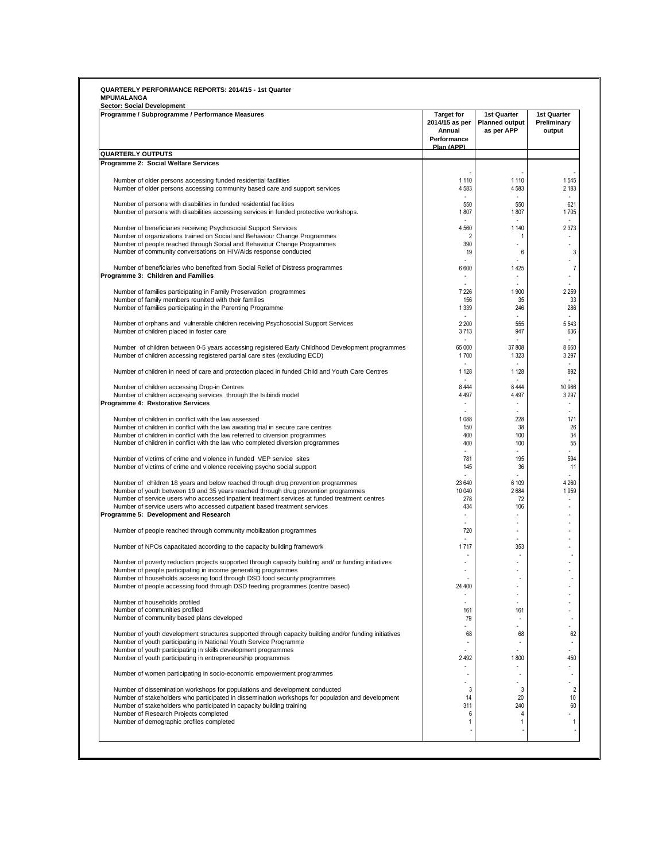| Programme / Subprogramme / Performance Measures                                                                                                                                     | <b>Target for</b><br>2014/15 as per<br>Annual<br>Performance<br>Plan (APP) | 1st Quarter<br><b>Planned output</b><br>as per APP | 1st Quarter<br>Preliminary<br>output |
|-------------------------------------------------------------------------------------------------------------------------------------------------------------------------------------|----------------------------------------------------------------------------|----------------------------------------------------|--------------------------------------|
| <b>QUARTERLY OUTPUTS</b>                                                                                                                                                            |                                                                            |                                                    |                                      |
| Programme 2: Social Welfare Services                                                                                                                                                |                                                                            |                                                    |                                      |
| Number of older persons accessing funded residential facilities                                                                                                                     | 1 1 1 0                                                                    | 1 1 1 0                                            | 1545                                 |
| Number of older persons accessing community based care and support services                                                                                                         | 4583                                                                       | 4583                                               | 2 1 8 3                              |
|                                                                                                                                                                                     |                                                                            |                                                    |                                      |
| Number of persons with disabilities in funded residential facilities                                                                                                                | 550<br>1807                                                                | 550<br>1807                                        | 621<br>1705                          |
| Number of persons with disabilities accessing services in funded protective workshops.                                                                                              |                                                                            |                                                    |                                      |
| Number of beneficiaries receiving Psychosocial Support Services                                                                                                                     | 4 5 6 0                                                                    | 1 1 4 0                                            | 2373                                 |
| Number of organizations trained on Social and Behaviour Change Programmes                                                                                                           | $\overline{2}$                                                             | 1                                                  |                                      |
| Number of people reached through Social and Behaviour Change Programmes<br>Number of community conversations on HIV/Aids response conducted                                         | 390<br>19                                                                  | 6                                                  | 3                                    |
|                                                                                                                                                                                     |                                                                            |                                                    |                                      |
| Number of beneficiaries who benefited from Social Relief of Distress programmes                                                                                                     | 6600                                                                       | 1425                                               | 7                                    |
| Programme 3: Children and Families                                                                                                                                                  | $\overline{\phantom{a}}$<br>ä,                                             | ×.                                                 | ٠                                    |
| Number of families participating in Family Preservation programmes                                                                                                                  | 7 2 2 6                                                                    | 1900                                               | 2 2 5 9                              |
| Number of family members reunited with their families                                                                                                                               | 156                                                                        | 35                                                 | 33                                   |
| Number of families participating in the Parenting Programme                                                                                                                         | 1 3 3 9                                                                    | 246                                                | 286                                  |
| Number of orphans and vulnerable children receiving Psychosocial Support Services                                                                                                   | ٠<br>2 2 0 0                                                               | $\sim$<br>555                                      | 5543                                 |
| Number of children placed in foster care                                                                                                                                            | 3713                                                                       | 947                                                | 636                                  |
|                                                                                                                                                                                     |                                                                            |                                                    |                                      |
| Number of children between 0-5 years accessing registered Early Childhood Development programmes                                                                                    | 65 000                                                                     | 37808                                              | 8660                                 |
| Number of children accessing registered partial care sites (excluding ECD)                                                                                                          | 1700                                                                       | 1 3 2 3                                            | 3 2 9 7                              |
| Number of children in need of care and protection placed in funded Child and Youth Care Centres                                                                                     | 1 1 2 8                                                                    | 1 1 2 8                                            | 892                                  |
|                                                                                                                                                                                     |                                                                            |                                                    |                                      |
| Number of children accessing Drop-in Centres<br>Number of children accessing services through the Isibindi model                                                                    | 8 4 4 4<br>4 4 9 7                                                         | 8444<br>4497                                       | 10 986<br>3 2 9 7                    |
| Programme 4: Restorative Services                                                                                                                                                   | ×.                                                                         | ×.                                                 | ٠                                    |
|                                                                                                                                                                                     |                                                                            |                                                    |                                      |
| Number of children in conflict with the law assessed                                                                                                                                | 1 0 8 8                                                                    | 228                                                | 171                                  |
| Number of children in conflict with the law awaiting trial in secure care centres<br>Number of children in conflict with the law referred to diversion programmes                   | 150<br>400                                                                 | 38<br>100                                          | 26<br>34                             |
| Number of children in conflict with the law who completed diversion programmes                                                                                                      | 400                                                                        | 100                                                | 55                                   |
|                                                                                                                                                                                     |                                                                            |                                                    |                                      |
| Number of victims of crime and violence in funded VEP service sites<br>Number of victims of crime and violence receiving psycho social support                                      | 781<br>145                                                                 | 195<br>36                                          | 594<br>11                            |
|                                                                                                                                                                                     |                                                                            |                                                    |                                      |
| Number of children 18 years and below reached through drug prevention programmes                                                                                                    | 23 640                                                                     | 6 109                                              | 4 2 6 0                              |
| Number of youth between 19 and 35 years reached through drug prevention programmes<br>Number of service users who accessed inpatient treatment services at funded treatment centres | 10 040<br>278                                                              | 2684<br>72                                         | 1959                                 |
| Number of service users who accessed outpatient based treatment services                                                                                                            | 434                                                                        | 106                                                |                                      |
| Programme 5: Development and Research                                                                                                                                               | $\overline{a}$                                                             | $\sim$                                             |                                      |
|                                                                                                                                                                                     |                                                                            | ×.                                                 |                                      |
| Number of people reached through community mobilization programmes                                                                                                                  | 720                                                                        | ٠                                                  |                                      |
| Number of NPOs capacitated according to the capacity building framework                                                                                                             | 1717                                                                       | 353                                                |                                      |
|                                                                                                                                                                                     |                                                                            |                                                    |                                      |
| Number of poverty reduction projects supported through capacity building and/ or funding initiatives<br>Number of people participating in income generating programmes              | ٠                                                                          |                                                    |                                      |
| Number of households accessing food through DSD food security programmes                                                                                                            |                                                                            | ٠                                                  |                                      |
| Number of people accessing food through DSD feeding programmes (centre based)                                                                                                       | 24 400                                                                     | ٠                                                  |                                      |
|                                                                                                                                                                                     |                                                                            |                                                    |                                      |
| Number of households profiled<br>Number of communities profiled                                                                                                                     | 161                                                                        | 161                                                |                                      |
| Number of community based plans developed                                                                                                                                           | 79                                                                         |                                                    |                                      |
|                                                                                                                                                                                     |                                                                            |                                                    |                                      |
| Number of youth development structures supported through capacity building and/or funding initiatives<br>Number of youth participating in National Youth Service Programme          | 68                                                                         | 68<br>÷.                                           | 62                                   |
| Number of youth participating in skills development programmes                                                                                                                      |                                                                            |                                                    |                                      |
| Number of youth participating in entrepreneurship programmes                                                                                                                        | 2492                                                                       | 1800                                               | 450                                  |
|                                                                                                                                                                                     |                                                                            |                                                    |                                      |
| Number of women participating in socio-economic empowerment programmes                                                                                                              |                                                                            |                                                    |                                      |
| Number of dissemination workshops for populations and development conducted                                                                                                         | 3                                                                          | 3                                                  | $\overline{2}$                       |
| Number of stakeholders who participated in dissemination workshops for population and development                                                                                   | 14                                                                         | 20                                                 | 10                                   |
| Number of stakeholders who participated in capacity building training<br>Number of Research Projects completed                                                                      | 311<br>6                                                                   | 240<br>4                                           | 60                                   |
| Number of demographic profiles completed                                                                                                                                            | 1                                                                          | 1                                                  | $\mathbf{1}$                         |
|                                                                                                                                                                                     |                                                                            |                                                    |                                      |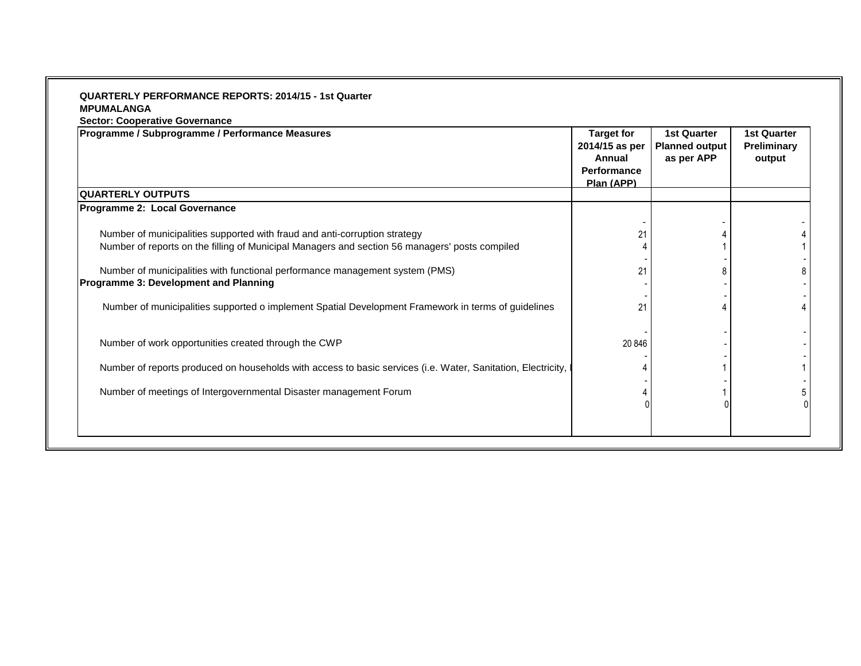**Sector: Cooperative Governance**

| Programme / Subprogramme / Performance Measures<br><b>QUARTERLY OUTPUTS</b>                                                                                                                                                                                                                                  | <b>Target for</b><br>2014/15 as per<br>Annual<br>Performance<br>Plan (APP) | <b>1st Quarter</b><br><b>Planned output</b><br>as per APP | <b>1st Quarter</b><br><b>Preliminary</b><br>output |
|--------------------------------------------------------------------------------------------------------------------------------------------------------------------------------------------------------------------------------------------------------------------------------------------------------------|----------------------------------------------------------------------------|-----------------------------------------------------------|----------------------------------------------------|
| Programme 2: Local Governance                                                                                                                                                                                                                                                                                |                                                                            |                                                           |                                                    |
| Number of municipalities supported with fraud and anti-corruption strategy<br>Number of reports on the filling of Municipal Managers and section 56 managers' posts compiled<br>Number of municipalities with functional performance management system (PMS)<br><b>Programme 3: Development and Planning</b> | 21<br>21                                                                   |                                                           |                                                    |
| Number of municipalities supported o implement Spatial Development Framework in terms of guidelines                                                                                                                                                                                                          | 21                                                                         |                                                           |                                                    |
| Number of work opportunities created through the CWP<br>Number of reports produced on households with access to basic services (i.e. Water, Sanitation, Electricity,                                                                                                                                         | 20 846                                                                     |                                                           |                                                    |
| Number of meetings of Intergovernmental Disaster management Forum                                                                                                                                                                                                                                            |                                                                            |                                                           |                                                    |
|                                                                                                                                                                                                                                                                                                              |                                                                            |                                                           |                                                    |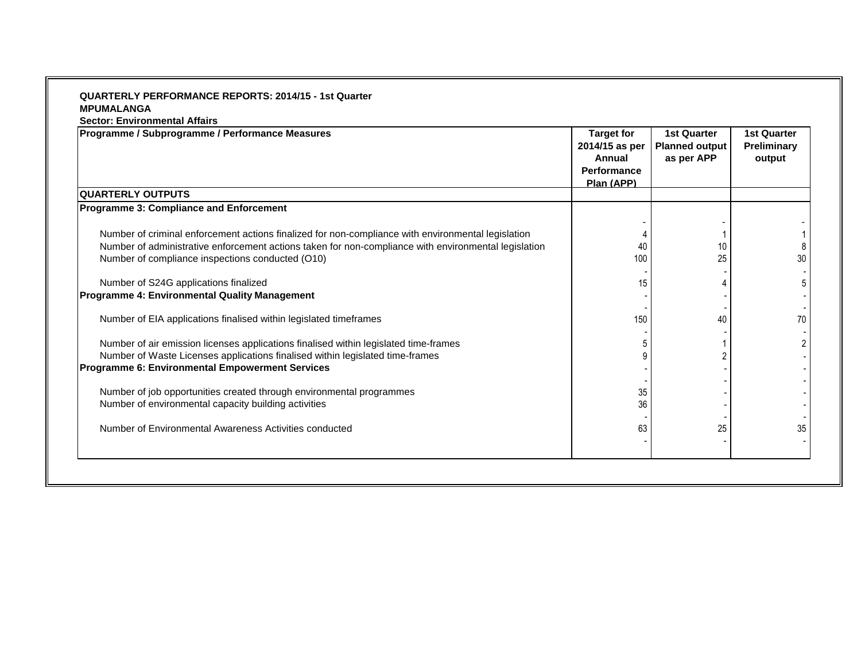**Sector: Environmental Affairs**

| Programme / Subprogramme / Performance Measures                                                      | <b>Target for</b> | <b>1st Quarter</b>    | <b>1st Quarter</b> |  |  |        |
|------------------------------------------------------------------------------------------------------|-------------------|-----------------------|--------------------|--|--|--------|
|                                                                                                      | 2014/15 as per    | <b>Planned output</b> | Preliminary        |  |  |        |
|                                                                                                      | Annual            | as per APP            |                    |  |  | output |
|                                                                                                      | Performance       |                       |                    |  |  |        |
|                                                                                                      | Plan (APP)        |                       |                    |  |  |        |
| <b>QUARTERLY OUTPUTS</b>                                                                             |                   |                       |                    |  |  |        |
| Programme 3: Compliance and Enforcement                                                              |                   |                       |                    |  |  |        |
|                                                                                                      |                   |                       |                    |  |  |        |
| Number of criminal enforcement actions finalized for non-compliance with environmental legislation   |                   |                       |                    |  |  |        |
| Number of administrative enforcement actions taken for non-compliance with environmental legislation | 40                | 10                    |                    |  |  |        |
| Number of compliance inspections conducted (O10)                                                     | 100               | 25                    | 30                 |  |  |        |
|                                                                                                      |                   |                       |                    |  |  |        |
| Number of S24G applications finalized                                                                | 15                |                       |                    |  |  |        |
| Programme 4: Environmental Quality Management                                                        |                   |                       |                    |  |  |        |
|                                                                                                      |                   |                       |                    |  |  |        |
| Number of EIA applications finalised within legislated timeframes                                    | 150               | 40                    | 70                 |  |  |        |
|                                                                                                      |                   |                       |                    |  |  |        |
| Number of air emission licenses applications finalised within legislated time-frames                 |                   |                       |                    |  |  |        |
| Number of Waste Licenses applications finalised within legislated time-frames                        |                   |                       |                    |  |  |        |
| Programme 6: Environmental Empowerment Services                                                      |                   |                       |                    |  |  |        |
|                                                                                                      |                   |                       |                    |  |  |        |
| Number of job opportunities created through environmental programmes                                 | 35                |                       |                    |  |  |        |
| Number of environmental capacity building activities                                                 | 36                |                       |                    |  |  |        |
|                                                                                                      |                   |                       |                    |  |  |        |
| Number of Environmental Awareness Activities conducted                                               | 63                | 25                    | 35                 |  |  |        |
|                                                                                                      |                   |                       |                    |  |  |        |
|                                                                                                      |                   |                       |                    |  |  |        |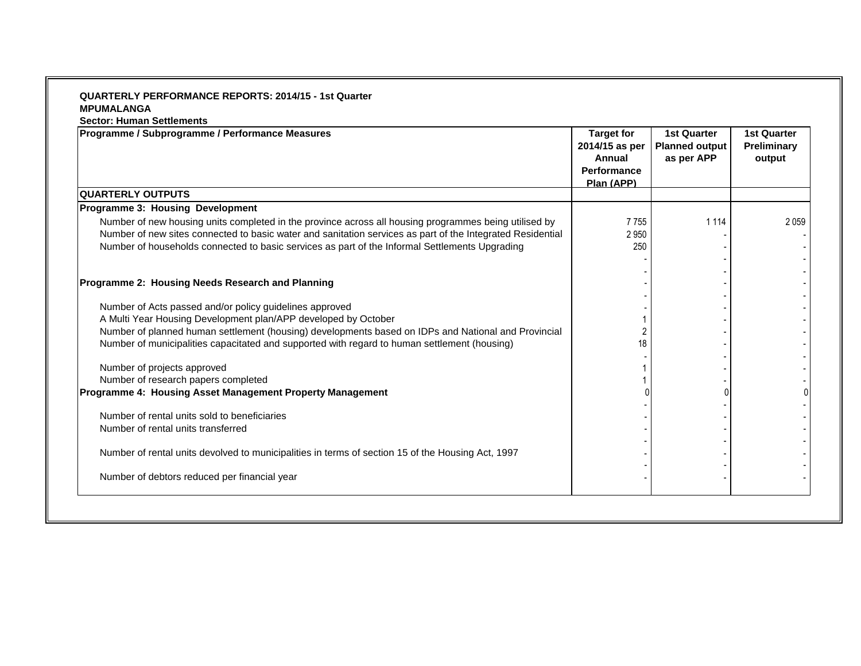**Sector: Human Settlements**

| Programme / Subprogramme / Performance Measures                                                            | <b>Target for</b> | <b>1st Quarter</b>    | <b>1st Quarter</b> |
|------------------------------------------------------------------------------------------------------------|-------------------|-----------------------|--------------------|
|                                                                                                            | 2014/15 as per    | <b>Planned output</b> | Preliminary        |
|                                                                                                            | Annual            | as per APP            | output             |
|                                                                                                            | Performance       |                       |                    |
| <b>IQUARTERLY OUTPUTS</b>                                                                                  | Plan (APP)        |                       |                    |
| Programme 3: Housing Development                                                                           |                   |                       |                    |
| Number of new housing units completed in the province across all housing programmes being utilised by      | 7755              | 1 1 1 4               | 2059               |
| Number of new sites connected to basic water and sanitation services as part of the Integrated Residential | 2 9 5 0           |                       |                    |
| Number of households connected to basic services as part of the Informal Settlements Upgrading             | 250               |                       |                    |
|                                                                                                            |                   |                       |                    |
|                                                                                                            |                   |                       |                    |
| Programme 2: Housing Needs Research and Planning                                                           |                   |                       |                    |
|                                                                                                            |                   |                       |                    |
| Number of Acts passed and/or policy guidelines approved                                                    |                   |                       |                    |
| A Multi Year Housing Development plan/APP developed by October                                             |                   |                       |                    |
| Number of planned human settlement (housing) developments based on IDPs and National and Provincial        |                   |                       |                    |
| Number of municipalities capacitated and supported with regard to human settlement (housing)               | 18                |                       |                    |
|                                                                                                            |                   |                       |                    |
| Number of projects approved                                                                                |                   |                       |                    |
| Number of research papers completed                                                                        |                   |                       |                    |
| Programme 4: Housing Asset Management Property Management                                                  |                   |                       |                    |
| Number of rental units sold to beneficiaries                                                               |                   |                       |                    |
| Number of rental units transferred                                                                         |                   |                       |                    |
|                                                                                                            |                   |                       |                    |
| Number of rental units devolved to municipalities in terms of section 15 of the Housing Act, 1997          |                   |                       |                    |
|                                                                                                            |                   |                       |                    |
| Number of debtors reduced per financial year                                                               |                   |                       |                    |
|                                                                                                            |                   |                       |                    |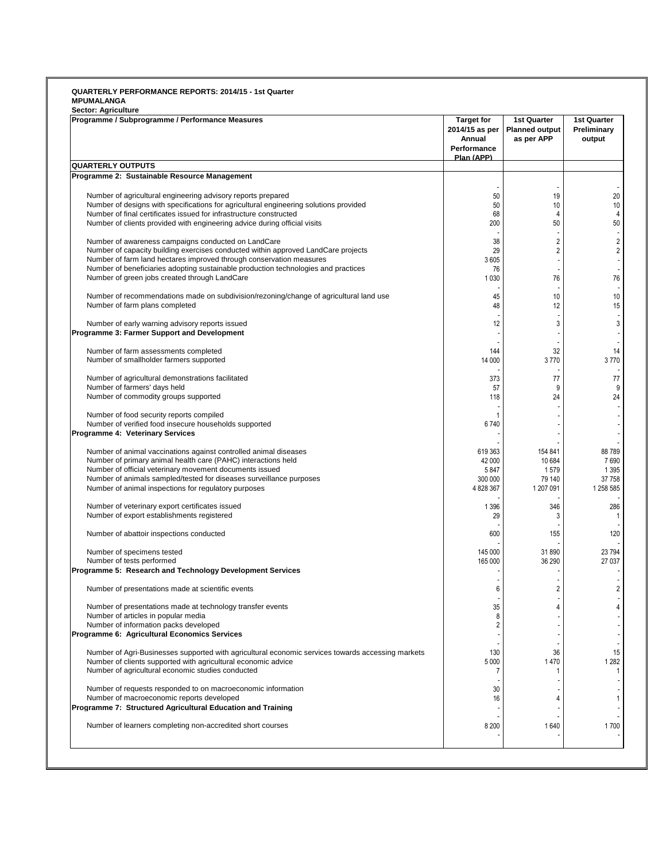| Programme / Subprogramme / Performance Measures                                                                                                                                                                                                                                                                                                        | <b>Target for</b><br>2014/15 as per<br>Annual<br>Performance<br>Plan (APP) | 1st Quarter<br><b>Planned output</b><br>as per APP | <b>1st Quarter</b><br>Preliminary<br>output     |
|--------------------------------------------------------------------------------------------------------------------------------------------------------------------------------------------------------------------------------------------------------------------------------------------------------------------------------------------------------|----------------------------------------------------------------------------|----------------------------------------------------|-------------------------------------------------|
| <b>QUARTERLY OUTPUTS</b>                                                                                                                                                                                                                                                                                                                               |                                                                            |                                                    |                                                 |
| Programme 2: Sustainable Resource Management                                                                                                                                                                                                                                                                                                           |                                                                            |                                                    |                                                 |
| Number of agricultural engineering advisory reports prepared<br>Number of designs with specifications for agricultural engineering solutions provided<br>Number of final certificates issued for infrastructure constructed<br>Number of clients provided with engineering advice during official visits                                               | 50<br>50<br>68<br>200                                                      | 19<br>10<br>4<br>50                                | 20<br>10<br>4<br>50                             |
| Number of awareness campaigns conducted on LandCare<br>Number of capacity building exercises conducted within approved LandCare projects<br>Number of farm land hectares improved through conservation measures<br>Number of beneficiaries adopting sustainable production technologies and practices<br>Number of green jobs created through LandCare | 38<br>29<br>3605<br>76<br>1 0 3 0                                          | $\overline{2}$<br>$\overline{2}$<br>76             | $\overline{2}$<br>$\overline{2}$<br>76          |
| Number of recommendations made on subdivision/rezoning/change of agricultural land use<br>Number of farm plans completed                                                                                                                                                                                                                               | 45<br>48                                                                   | 10<br>12                                           | 10<br>15                                        |
| Number of early warning advisory reports issued<br>Programme 3: Farmer Support and Development                                                                                                                                                                                                                                                         | 12                                                                         | 3                                                  | 3                                               |
| Number of farm assessments completed<br>Number of smallholder farmers supported                                                                                                                                                                                                                                                                        | 144<br>14 000                                                              | 32<br>3770                                         | 14<br>3770                                      |
| Number of agricultural demonstrations facilitated<br>Number of farmers' days held<br>Number of commodity groups supported                                                                                                                                                                                                                              | 373<br>57<br>118                                                           | 77<br>9<br>24                                      | 77<br>9<br>24                                   |
| Number of food security reports compiled<br>Number of verified food insecure households supported<br>Programme 4: Veterinary Services                                                                                                                                                                                                                  | 1<br>6740                                                                  |                                                    |                                                 |
| Number of animal vaccinations against controlled animal diseases<br>Number of primary animal health care (PAHC) interactions held<br>Number of official veterinary movement documents issued<br>Number of animals sampled/tested for diseases surveillance purposes<br>Number of animal inspections for regulatory purposes                            | 619 363<br>42 000<br>5847<br>300 000<br>4 828 367                          | 154 841<br>10 684<br>1579<br>79 140<br>1 207 091   | 88789<br>7690<br>1 3 9 5<br>37 758<br>1 258 585 |
| Number of veterinary export certificates issued<br>Number of export establishments registered                                                                                                                                                                                                                                                          | 1 3 9 6<br>29                                                              | 346<br>3                                           | 286<br>-1                                       |
| Number of abattoir inspections conducted                                                                                                                                                                                                                                                                                                               | 600                                                                        | 155                                                | 120                                             |
| Number of specimens tested<br>Number of tests performed<br>Programme 5: Research and Technology Development Services                                                                                                                                                                                                                                   | 145 000<br>165 000                                                         | 31890<br>36 290                                    | 23 794<br>27 037                                |
| Number of presentations made at scientific events                                                                                                                                                                                                                                                                                                      | 6                                                                          | $\overline{2}$                                     | $\overline{2}$                                  |
| Number of presentations made at technology transfer events<br>Number of articles in popular media<br>Number of information packs developed<br>Programme 6: Agricultural Economics Services                                                                                                                                                             | 35<br>8<br>$\overline{2}$                                                  | $\overline{4}$                                     |                                                 |
| Number of Agri-Businesses supported with agricultural economic services towards accessing markets<br>Number of clients supported with agricultural economic advice<br>Number of agricultural economic studies conducted                                                                                                                                | 130<br>5 0 0 0<br>7                                                        | 36<br>1470                                         | 15<br>1 2 8 2                                   |
| Number of requests responded to on macroeconomic information<br>Number of macroeconomic reports developed<br>Programme 7: Structured Agricultural Education and Training                                                                                                                                                                               | 30<br>16                                                                   | 4                                                  |                                                 |
| Number of learners completing non-accredited short courses                                                                                                                                                                                                                                                                                             | 8 2 0 0                                                                    | 1640                                               | 1700                                            |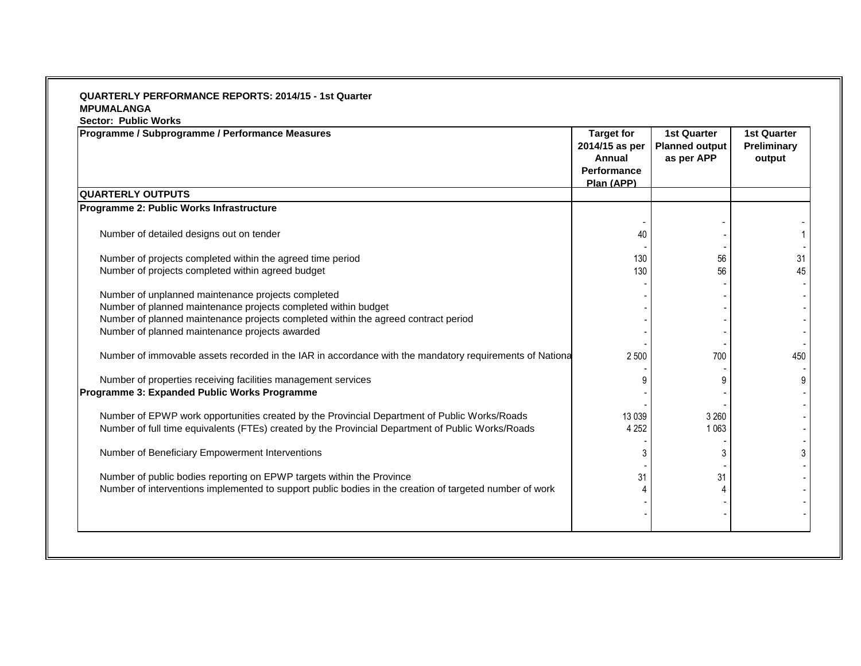**Sector: Public Works**

| Programme / Subprogramme / Performance Measures                                                         | <b>Target for</b> | <b>1st Quarter</b>    | <b>1st Quarter</b> |
|---------------------------------------------------------------------------------------------------------|-------------------|-----------------------|--------------------|
|                                                                                                         | 2014/15 as per    | <b>Planned output</b> | Preliminary        |
|                                                                                                         | Annual            | as per APP            | output             |
|                                                                                                         | Performance       |                       |                    |
|                                                                                                         | Plan (APP)        |                       |                    |
| <b>QUARTERLY OUTPUTS</b>                                                                                |                   |                       |                    |
| Programme 2: Public Works Infrastructure                                                                |                   |                       |                    |
|                                                                                                         |                   |                       |                    |
| Number of detailed designs out on tender                                                                | 40                |                       |                    |
|                                                                                                         |                   |                       |                    |
| Number of projects completed within the agreed time period                                              | 130               | 56                    | 31                 |
| Number of projects completed within agreed budget                                                       | 130               | 56                    | 45                 |
|                                                                                                         |                   |                       |                    |
| Number of unplanned maintenance projects completed                                                      |                   |                       |                    |
| Number of planned maintenance projects completed within budget                                          |                   |                       |                    |
| Number of planned maintenance projects completed within the agreed contract period                      |                   |                       |                    |
| Number of planned maintenance projects awarded                                                          |                   |                       |                    |
|                                                                                                         |                   |                       |                    |
| Number of immovable assets recorded in the IAR in accordance with the mandatory requirements of Nationa | 2 500             | 700                   | 450                |
|                                                                                                         |                   |                       |                    |
| Number of properties receiving facilities management services                                           |                   |                       |                    |
| Programme 3: Expanded Public Works Programme                                                            |                   |                       |                    |
|                                                                                                         |                   |                       |                    |
| Number of EPWP work opportunities created by the Provincial Department of Public Works/Roads            | 13 0 39           | 3 2 6 0               |                    |
| Number of full time equivalents (FTEs) created by the Provincial Department of Public Works/Roads       | 4 2 5 2           | 1 0 6 3               |                    |
|                                                                                                         |                   |                       |                    |
| Number of Beneficiary Empowerment Interventions                                                         |                   |                       |                    |
|                                                                                                         |                   |                       |                    |
| Number of public bodies reporting on EPWP targets within the Province                                   | 31                | 31                    |                    |
| Number of interventions implemented to support public bodies in the creation of targeted number of work |                   |                       |                    |
|                                                                                                         |                   |                       |                    |
|                                                                                                         |                   |                       |                    |
|                                                                                                         |                   |                       |                    |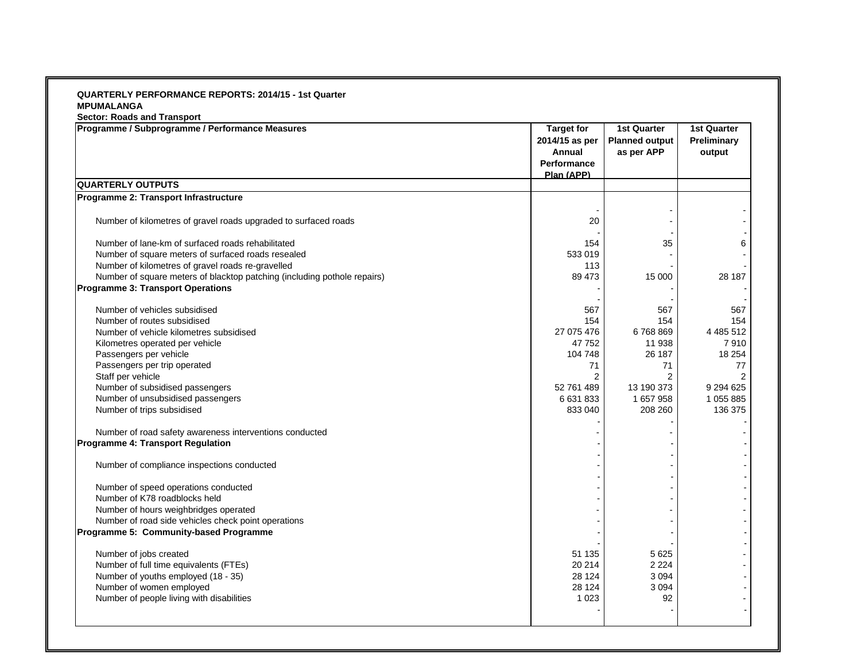**Sector: Roads and Transport**

| Programme / Subprogramme / Performance Measures                          | <b>Target for</b><br>2014/15 as per<br>Annual<br>Performance<br>Plan (APP) | <b>1st Quarter</b><br><b>Planned output</b><br>as per APP | <b>1st Quarter</b><br>Preliminary<br>output |
|--------------------------------------------------------------------------|----------------------------------------------------------------------------|-----------------------------------------------------------|---------------------------------------------|
| <b>QUARTERLY OUTPUTS</b>                                                 |                                                                            |                                                           |                                             |
| Programme 2: Transport Infrastructure                                    |                                                                            |                                                           |                                             |
| Number of kilometres of gravel roads upgraded to surfaced roads          | 20                                                                         |                                                           |                                             |
| Number of lane-km of surfaced roads rehabilitated                        | 154                                                                        | 35                                                        | 6                                           |
| Number of square meters of surfaced roads resealed                       | 533 019                                                                    |                                                           |                                             |
| Number of kilometres of gravel roads re-gravelled                        | 113                                                                        |                                                           |                                             |
| Number of square meters of blacktop patching (including pothole repairs) | 89 473                                                                     | 15 000                                                    | 28 187                                      |
| <b>Programme 3: Transport Operations</b>                                 |                                                                            |                                                           |                                             |
|                                                                          |                                                                            |                                                           |                                             |
| Number of vehicles subsidised                                            | 567                                                                        | 567                                                       | 567                                         |
| Number of routes subsidised                                              | 154                                                                        | 154                                                       | 154                                         |
| Number of vehicle kilometres subsidised                                  | 27 075 476<br>47 752                                                       | 6768869                                                   | 4 4 8 5 5 1 2                               |
| Kilometres operated per vehicle                                          | 104 748                                                                    | 11 938<br>26 187                                          | 7910                                        |
| Passengers per vehicle                                                   | 71                                                                         |                                                           | 18 254<br>77                                |
| Passengers per trip operated<br>Staff per vehicle                        | $\overline{2}$                                                             | 71<br>$\overline{2}$                                      | $\overline{2}$                              |
| Number of subsidised passengers                                          | 52 761 489                                                                 | 13 190 373                                                | 9 2 9 4 6 2 5                               |
| Number of unsubsidised passengers                                        | 6 631 833                                                                  | 1 657 958                                                 | 1 055 885                                   |
| Number of trips subsidised                                               | 833 040                                                                    | 208 260                                                   | 136 375                                     |
|                                                                          |                                                                            |                                                           |                                             |
| Number of road safety awareness interventions conducted                  |                                                                            |                                                           |                                             |
| Programme 4: Transport Regulation                                        |                                                                            |                                                           |                                             |
|                                                                          |                                                                            |                                                           |                                             |
| Number of compliance inspections conducted                               |                                                                            |                                                           |                                             |
| Number of speed operations conducted                                     |                                                                            |                                                           |                                             |
| Number of K78 roadblocks held                                            |                                                                            |                                                           |                                             |
| Number of hours weighbridges operated                                    |                                                                            |                                                           |                                             |
| Number of road side vehicles check point operations                      |                                                                            |                                                           |                                             |
| Programme 5: Community-based Programme                                   |                                                                            |                                                           |                                             |
|                                                                          |                                                                            |                                                           |                                             |
| Number of jobs created                                                   | 51 135                                                                     | 5 6 2 5                                                   |                                             |
| Number of full time equivalents (FTEs)                                   | 20 214                                                                     | 2 2 2 4                                                   |                                             |
| Number of youths employed (18 - 35)                                      | 28 1 24                                                                    | 3 0 9 4                                                   |                                             |
| Number of women employed                                                 | 28 1 24                                                                    | 3 0 9 4                                                   |                                             |
| Number of people living with disabilities                                | 1 0 2 3                                                                    | 92                                                        |                                             |
|                                                                          |                                                                            |                                                           |                                             |
|                                                                          |                                                                            |                                                           |                                             |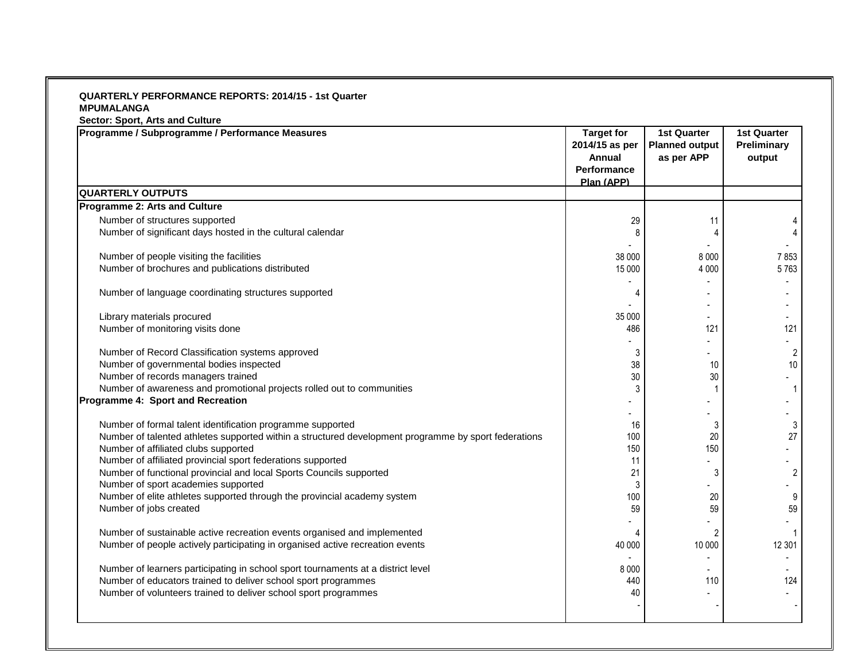**Sector: Sport, Arts and Culture**

| Programme / Subprogramme / Performance Measures                                                                                                                    | <b>Target for</b><br>2014/15 as per<br>Annual<br>Performance<br>Plan (APP) | <b>1st Quarter</b><br><b>Planned output</b><br>as per APP | <b>1st Quarter</b><br>Preliminary<br>output |
|--------------------------------------------------------------------------------------------------------------------------------------------------------------------|----------------------------------------------------------------------------|-----------------------------------------------------------|---------------------------------------------|
| <b>QUARTERLY OUTPUTS</b>                                                                                                                                           |                                                                            |                                                           |                                             |
| <b>Programme 2: Arts and Culture</b>                                                                                                                               |                                                                            |                                                           |                                             |
| Number of structures supported<br>Number of significant days hosted in the cultural calendar                                                                       | 29<br>8                                                                    | 11<br>4                                                   |                                             |
| Number of people visiting the facilities                                                                                                                           | 38 000                                                                     | 8 0 0 0                                                   | 7853                                        |
| Number of brochures and publications distributed                                                                                                                   | 15 000                                                                     | 4 0 0 0                                                   | 5763                                        |
| Number of language coordinating structures supported                                                                                                               | 4                                                                          |                                                           |                                             |
| Library materials procured                                                                                                                                         | 35 000                                                                     |                                                           |                                             |
| Number of monitoring visits done                                                                                                                                   | 486                                                                        | 121                                                       | 121                                         |
|                                                                                                                                                                    |                                                                            |                                                           |                                             |
| Number of Record Classification systems approved<br>Number of governmental bodies inspected                                                                        | 3<br>38                                                                    | 10                                                        | 10                                          |
| Number of records managers trained                                                                                                                                 | $30\,$                                                                     | 30                                                        |                                             |
| Number of awareness and promotional projects rolled out to communities                                                                                             | 3                                                                          |                                                           |                                             |
| Programme 4: Sport and Recreation                                                                                                                                  |                                                                            |                                                           |                                             |
|                                                                                                                                                                    |                                                                            |                                                           |                                             |
| Number of formal talent identification programme supported<br>Number of talented athletes supported within a structured development programme by sport federations | 16<br>100                                                                  | 3<br>20                                                   | 3<br>27                                     |
| Number of affiliated clubs supported                                                                                                                               | 150                                                                        | 150                                                       |                                             |
| Number of affiliated provincial sport federations supported                                                                                                        | 11                                                                         |                                                           |                                             |
| Number of functional provincial and local Sports Councils supported                                                                                                | 21                                                                         | 3                                                         | 2                                           |
| Number of sport academies supported                                                                                                                                | 3                                                                          |                                                           |                                             |
| Number of elite athletes supported through the provincial academy system                                                                                           | 100                                                                        | 20                                                        | 9                                           |
| Number of jobs created                                                                                                                                             | 59                                                                         | 59                                                        | 59                                          |
| Number of sustainable active recreation events organised and implemented                                                                                           |                                                                            | $\overline{2}$                                            |                                             |
| Number of people actively participating in organised active recreation events                                                                                      | 40 000                                                                     | 10 000                                                    | 12 301                                      |
| Number of learners participating in school sport tournaments at a district level                                                                                   | 8 0 0 0                                                                    |                                                           |                                             |
| Number of educators trained to deliver school sport programmes                                                                                                     | 440                                                                        | 110                                                       | 124                                         |
| Number of volunteers trained to deliver school sport programmes                                                                                                    | 40                                                                         |                                                           |                                             |
|                                                                                                                                                                    |                                                                            |                                                           |                                             |